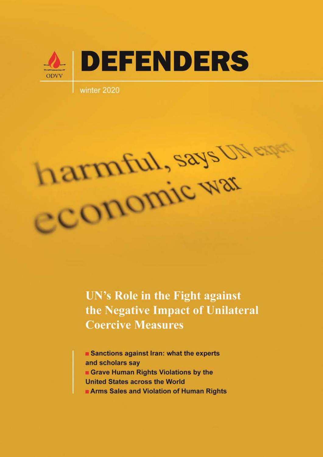

winter 2020



UN's Role in the Fight against the Negative Impact of Unilateral **Coercive Measures** 

Sanctions against Iran: what the experts and scholars say Grave Human Rights Violations by the **United States across the World** Arms Sales and Violation of Human Rights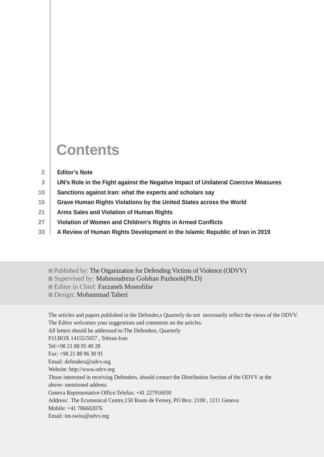## **Contents**

|  | <b>Editor's Note</b> |  |
|--|----------------------|--|
|--|----------------------|--|

- **UN's Role in the Fight against the Negative Impact of Unilateral Coercive Measures 3**
- **Sanctions against Iran: what the experts and scholars say 10**
- **Grave Human Rights Violations by the United States across the World 15**
- **Arms Sales and Violation of Human Rights 21**
- **Violation of Women and Children's Rights in Armed Conflicts 27**
- **A Review of Human Rights Development in the Islamic Republic of Iran in 2019 33**
	- Published by: The Organization for Defending Victims of Violence (ODVV)
	- Supervised by: Mahmoudreza Golshan Pazhooh(Ph.D)
	- Editor in Chief: Farzaneh Mostofifar
	- Design: Mohammad Taheri

The articles and papers published in the Defender,s Quarterly do not necessarily reflect the views of the ODVV. The Editor welcomes your suggestions and comments on the articles.

All letters should be addressed to:The Defenders, Quarterly

P.O.BOX 14155/5957 , Tehran-Iran

Tel:+98 21 88 95 49 28

Fax: +98 21 88 96 30 91

Email: defenders@odvv.org

Website: http://www.odvv.org

Those interested in receiving Defenders, should contact the Distribution Section of the ODVV at the above- mentioned address.

Geneva Representative Office:Telefax: +41 227916030

Address: The Ecumenical Centre,150 Route de Ferney, PO Box: 2100 , 1211 Geneva

Mobile: +41 786602076

Email: int-swiss@odvv.org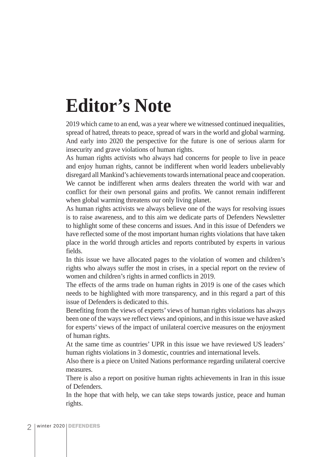# **Editor's Note**

2019 which came to an end, was a year where we witnessed continued inequalities, spread of hatred, threats to peace, spread of wars in the world and global warming. And early into 2020 the perspective for the future is one of serious alarm for insecurity and grave violations of human rights.

As human rights activists who always had concerns for people to live in peace and enjoy human rights, cannot be indifferent when world leaders unbelievably disregard all Mankind's achievements towards international peace and cooperation. We cannot be indifferent when arms dealers threaten the world with war and conflict for their own personal gains and profits. We cannot remain indifferent when global warming threatens our only living planet.

As human rights activists we always believe one of the ways for resolving issues is to raise awareness, and to this aim we dedicate parts of Defenders Newsletter to highlight some of these concerns and issues. And in this issue of Defenders we have reflected some of the most important human rights violations that have taken place in the world through articles and reports contributed by experts in various fields.

In this issue we have allocated pages to the violation of women and children's rights who always suffer the most in crises, in a special report on the review of women and children's rights in armed conflicts in 2019.

The effects of the arms trade on human rights in 2019 is one of the cases which needs to be highlighted with more transparency, and in this regard a part of this issue of Defenders is dedicated to this.

Benefiting from the views of experts' views of human rights violations has always been one of the ways we reflect views and opinions, and in this issue we have asked for experts' views of the impact of unilateral coercive measures on the enjoyment of human rights.

At the same time as countries' UPR in this issue we have reviewed US leaders' human rights violations in 3 domestic, countries and international levels.

Also there is a piece on United Nations performance regarding unilateral coercive measures.

There is also a report on positive human rights achievements in Iran in this issue of Defenders.

In the hope that with help, we can take steps towards justice, peace and human rights.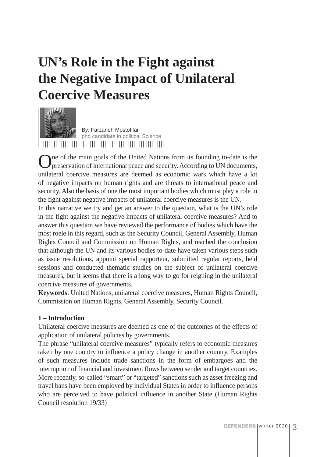## **UN's Role in the Fight against the Negative Impact of Unilateral Coercive Measures**



By: Farzaneh Mostofifar phd candidate in political Science

One of the main goals of the United Nations from its founding to-date is the preservation of international peace and security. According to UN documents, unilateral coercive measures are deemed as economic wars which have a lot of negative impacts on human rights and are threats to international peace and security. Also the basis of one the most important bodies which must play a role in the fight against negative impacts of unilateral coercive measures is the UN.

In this narrative we try and get an answer to the question, what is the UN's role in the fight against the negative impacts of unilateral coercive measures? And to answer this question we have reviewed the performance of bodies which have the most roele in this regard, such as the Security Council, General Assembly, Human Rights Council and Commission on Human Rights, and reached the conclusion that although the UN and its various bodies to-date have taken various steps such as issue resolutions, appoint special rapporteur, submitted regular reports, held sessions and conducted thematic studies on the subject of unilateral coercive measures, but it seems that there is a long way to go for reigning in the unilateral coercive measures of governments.

**Keywords**: United Nations, unilateral coercive measures, Human Rights Council, Commission on Human Rights, General Assembly, Security Council.

## **1 – Introduction**

Unilateral coercive measures are deemed as one of the outcomes of the effects of application of unilateral policies by governments.

The phrase "unilateral coercive measures" typically refers to economic measures taken by one country to influence a policy change in another country. Examples of such measures include trade sanctions in the form of embargoes and the interruption of financial and investment flows between sender and target countries. More recently, so-called "smart" or "targeted" sanctions such as asset freezing and travel bans have been employed by individual States in order to influence persons who are perceived to have political influence in another State (Human Rights Council resolution 19/33)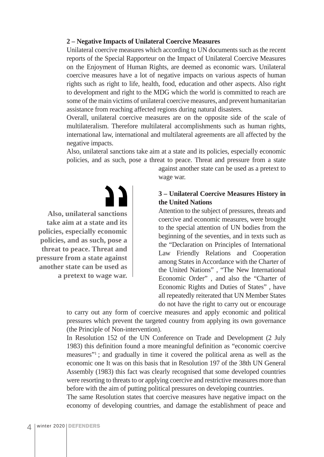#### **2 – Negative Impacts of Unilateral Coercive Measures**

Unilateral coercive measures which according to UN documents such as the recent reports of the Special Rapporteur on the Impact of Unilateral Coercive Measures on the Enjoyment of Human Rights, are deemed as economic wars. Unilateral coercive measures have a lot of negative impacts on various aspects of human rights such as right to life, health, food, education and other aspects. Also right to development and right to the MDG which the world is committed to reach are some of the main victims of unilateral coercive measures, and prevent humanitarian assistance from reaching affected regions during natural disasters.

Overall, unilateral coercive measures are on the opposite side of the scale of multilateralism. Therefore multilateral accomplishments such as human rights, international law, international and multilateral agreements are all affected by the negative impacts.

Also, unilateral sanctions take aim at a state and its policies, especially economic policies, and as such, pose a threat to peace. Threat and pressure from a state

**Also, unilateral sanctions take aim at a state and its policies, especially economic policies, and as such, pose a threat to peace. Threat and pressure from a state against another state can be used as a pretext to wage war.** against another state can be used as a pretext to wage war.

## **3 – Unilateral Coercive Measures History in the United Nations**

Attention to the subject of pressures, threats and coercive and economic measures, were brought to the special attention of UN bodies from the beginning of the seventies, and in texts such as the "Declaration on Principles of International Law Friendly Relations and Cooperation among States in Accordance with the Charter of the United Nations" , "The New International Economic Order" , and also the "Charter of Economic Rights and Duties of States" , have all repeatedly reiterated that UN Member States do not have the right to carry out or encourage

to carry out any form of coercive measures and apply economic and political pressures which prevent the targeted country from applying its own governance (the Principle of Non-intervention).

In Resolution 152 of the UN Conference on Trade and Development (2 July 1983) this definition found a more meaningful definition as "economic coercive measures"1 ; and gradually in time it covered the political arena as well as the economic one It was on this basis that in Resolution 197 of the 38th UN General Assembly (1983) this fact was clearly recognised that some developed countries were resorting to threats to or applying coercive and restrictive measures more than before with the aim of putting political pressures on developing countries.

The same Resolution states that coercive measures have negative impact on the economy of developing countries, and damage the establishment of peace and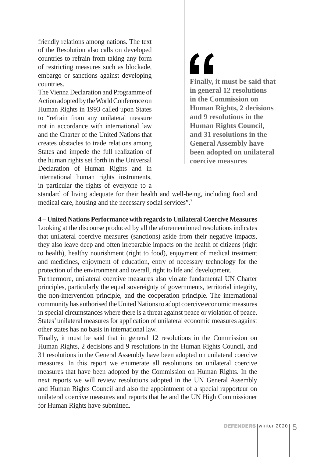friendly relations among nations. The text of the Resolution also calls on developed countries to refrain from taking any form of restricting measures such as blockade, embargo or sanctions against developing countries.

The Vienna Declaration and Programme of Action adopted by the World Conference on Human Rights in 1993 called upon States to "refrain from any unilateral measure not in accordance with international law and the Charter of the United Nations that creates obstacles to trade relations among States and impede the full realization of the human rights set forth in the Universal Declaration of Human Rights and in international human rights instruments, in particular the rights of everyone to a  $\mathbf{C}$ **Finally, it must be said that in general 12 resolutions in the Commission on Human Rights, 2 decisions and 9 resolutions in the Human Rights Council, and 31 resolutions in the General Assembly have been adopted on unilateral coercive measures**

standard of living adequate for their health and well-being, including food and medical care, housing and the necessary social services".2

#### **4 – United Nations Performance with regards to Unilateral Coercive Measures**

Looking at the discourse produced by all the aforementioned resolutions indicates that unilateral coercive measures (sanctions) aside from their negative impacts, they also leave deep and often irreparable impacts on the health of citizens (right to health), healthy nourishment (right to food), enjoyment of medical treatment and medicines, enjoyment of education, entry of necessary technology for the protection of the environment and overall, right to life and development.

Furthermore, unilateral coercive measures also violate fundamental UN Charter principles, particularly the equal sovereignty of governments, territorial integrity, the non-intervention principle, and the cooperation principle. The international community has authorised the United Nations to adopt coercive economic measures in special circumstances where there is a threat against peace or violation of peace. States' unilateral measures for application of unilateral economic measures against other states has no basis in international law.

Finally, it must be said that in general 12 resolutions in the Commission on Human Rights, 2 decisions and 9 resolutions in the Human Rights Council, and 31 resolutions in the General Assembly have been adopted on unilateral coercive measures. In this report we enumerate all resolutions on unilateral coercive measures that have been adopted by the Commission on Human Rights. In the next reports we will review resolutions adopted in the UN General Assembly and Human Rights Council and also the appointment of a special rapporteur on unilateral coercive measures and reports that he and the UN High Commissioner for Human Rights have submitted.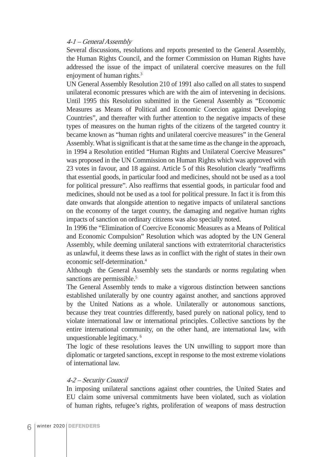#### 4-1 – General Assembly

Several discussions, resolutions and reports presented to the General Assembly, the Human Rights Council, and the former Commission on Human Rights have addressed the issue of the impact of unilateral coercive measures on the full enjoyment of human rights.<sup>3</sup>

UN General Assembly Resolution 210 of 1991 also called on all states to suspend unilateral economic pressures which are with the aim of intervening in decisions. Until 1995 this Resolution submitted in the General Assembly as "Economic Measures as Means of Political and Economic Coercion against Developing Countries", and thereafter with further attention to the negative impacts of these types of measures on the human rights of the citizens of the targeted country it became known as "human rights and unilateral coercive measures" in the General Assembly. What is significant is that at the same time as the change in the approach, in 1994 a Resolution entitled "Human Rights and Unilateral Coercive Measures" was proposed in the UN Commission on Human Rights which was approved with 23 votes in favour, and 18 against. Article 5 of this Resolution clearly "reaffirms that essential goods, in particular food and medicines, should not be used as a tool for political pressure". Also reaffirms that essential goods, in particular food and medicines, should not be used as a tool for political pressure. In fact it is from this date onwards that alongside attention to negative impacts of unilateral sanctions on the economy of the target country, the damaging and negative human rights impacts of sanction on ordinary citizens was also specially noted.

In 1996 the "Elimination of Coercive Economic Measures as a Means of Political and Economic Compulsion" Resolution which was adopted by the UN General Assembly, while deeming unilateral sanctions with extraterritorial characteristics as unlawful, it deems these laws as in conflict with the right of states in their own economic self-determination.4

Although the General Assembly sets the standards or norms regulating when sanctions are permissible.<sup>5</sup>

The General Assembly tends to make a vigorous distinction between sanctions established unilaterally by one country against another, and sanctions approved by the United Nations as a whole. Unilaterally or autonomous sanctions, because they treat countries differently, based purely on national policy, tend to violate international law or international principles. Collective sanctions by the entire international community, on the other hand, are international law, with unquestionable legitimacy. 6

The logic of these resolutions leaves the UN unwilling to support more than diplomatic or targeted sanctions, except in response to the most extreme violations of international law.

#### 4-2 – Security Council

In imposing unilateral sanctions against other countries, the United States and EU claim some universal commitments have been violated, such as violation of human rights, refugee's rights, proliferation of weapons of mass destruction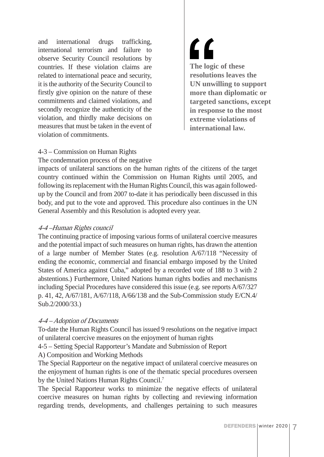and international drugs trafficking, international terrorism and failure to observe Security Council resolutions by countries. If these violation claims are related to international peace and security, it is the authority of the Security Council to firstly give opinion on the nature of these commitments and claimed violations, and secondly recognize the authenticity of the violation, and thirdly make decisions on measures that must be taken in the event of violation of commitments.

7 ) **The logic of these resolutions leaves the UN unwilling to support more than diplomatic or targeted sanctions, except in response to the most extreme violations of international law.**

### 4-3 – Commission on Human Rights

The condemnation process of the negative

impacts of unilateral sanctions on the human rights of the citizens of the target country continued within the Commission on Human Rights until 2005, and following its replacement with the Human Rights Council, this was again followedup by the Council and from 2007 to-date it has periodically been discussed in this body, and put to the vote and approved. This procedure also continues in the UN General Assembly and this Resolution is adopted every year.

### 4-4 –Human Rights council

The continuing practice of imposing various forms of unilateral coercive measures and the potential impact of such measures on human rights, has drawn the attention of a large number of Member States (e.g. resolution A/67/118 "Necessity of ending the economic, commercial and financial embargo imposed by the United States of America against Cuba," adopted by a recorded vote of 188 to 3 with 2 abstentions.) Furthermore, United Nations human rights bodies and mechanisms including Special Procedures have considered this issue (e.g. see reports A/67/327 p. 41, 42, A/67/181, A/67/118, A/66/138 and the Sub-Commission study E/CN.4/ Sub.2/2000/33.)

#### 4-4 – Adoption of Documents

To-date the Human Rights Council has issued 9 resolutions on the negative impact of unilateral coercive measures on the enjoyment of human rights

4-5 – Setting Special Rapporteur's Mandate and Submission of Report

A) Composition and Working Methods

The Special Rapporteur on the negative impact of unilateral coercive measures on the enjoyment of human rights is one of the thematic special procedures overseen by the United Nations Human Rights Council.7

The Special Rapporteur works to minimize the negative effects of unilateral coercive measures on human rights by collecting and reviewing information regarding trends, developments, and challenges pertaining to such measures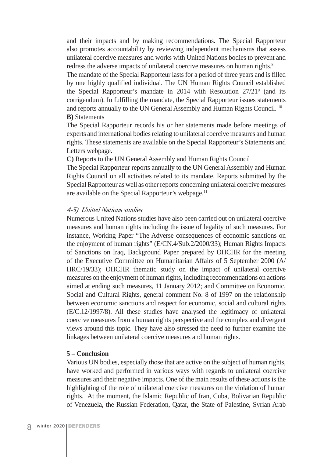and their impacts and by making recommendations. The Special Rapporteur also promotes accountability by reviewing independent mechanisms that assess unilateral coercive measures and works with United Nations bodies to prevent and redress the adverse impacts of unilateral coercive measures on human rights.<sup>8</sup>

The mandate of the Special Rapporteur lasts for a period of three years and is filled by one highly qualified individual. The UN Human Rights Council established the Special Rapporteur's mandate in 2014 with Resolution 27/21<sup>9</sup> (and its corrigendum). In fulfilling the mandate, the Special Rapporteur issues statements and reports annually to the UN General Assembly and Human Rights Council.<sup>10</sup> **B)** Statements

The Special Rapporteur records his or her statements made before meetings of experts and international bodies relating to unilateral coercive measures and human rights. These statements are available on the Special Rapporteur's Statements and Letters webpage.

**C)** Reports to the UN General Assembly and Human Rights Council

The Special Rapporteur reports annually to the UN General Assembly and Human Rights Council on all activities related to its mandate. Reports submitted by the Special Rapporteur as well as other reports concerning unilateral coercive measures are available on the Special Rapporteur's webpage.<sup>11</sup>

#### 4-5) United Nations studies

Numerous United Nations studies have also been carried out on unilateral coercive measures and human rights including the issue of legality of such measures. For instance, Working Paper "The Adverse consequences of economic sanctions on the enjoyment of human rights" (E/CN.4/Sub.2/2000/33); Human Rights Impacts of Sanctions on Iraq, Background Paper prepared by OHCHR for the meeting of the Executive Committee on Humanitarian Affairs of 5 September 2000 (A/ HRC/19/33); OHCHR thematic study on the impact of unilateral coercive measures on the enjoyment of human rights, including recommendations on actions aimed at ending such measures, 11 January 2012; and Committee on Economic, Social and Cultural Rights, general comment No. 8 of 1997 on the relationship between economic sanctions and respect for economic, social and cultural rights (E/C.12/1997/8). All these studies have analysed the legitimacy of unilateral coercive measures from a human rights perspective and the complex and divergent views around this topic. They have also stressed the need to further examine the linkages between unilateral coercive measures and human rights.

#### **5 – Conclusion**

Various UN bodies, especially those that are active on the subject of human rights, have worked and performed in various ways with regards to unilateral coercive measures and their negative impacts. One of the main results of these actions is the highlighting of the role of unilateral coercive measures on the violation of human rights. At the moment, the Islamic Republic of Iran, Cuba, Bolivarian Republic of Venezuela, the Russian Federation, Qatar, the State of Palestine, Syrian Arab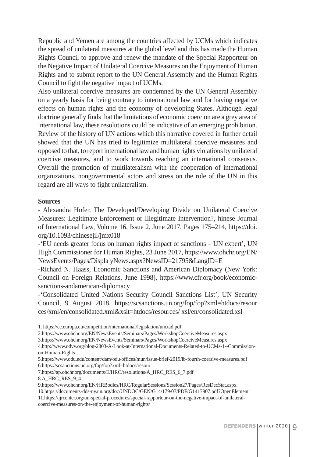Republic and Yemen are among the countries affected by UCMs which indicates the spread of unilateral measures at the global level and this has made the Human Rights Council to approve and renew the mandate of the Special Rapporteur on the Negative Impact of Unilateral Coercive Measures on the Enjoyment of Human Rights and to submit report to the UN General Assembly and the Human Rights Council to fight the negative impact of UCMs.

Also unilateral coercive measures are condemned by the UN General Assembly on a yearly basis for being contrary to international law and for having negative effects on human rights and the economy of developing States. Although legal doctrine generally finds that the limitations of economic coercion are a grey area of international law, these resolutions could be indicative of an emerging prohibition. Review of the history of UN actions which this narrative covered in further detail showed that the UN has tried to legitimize multilateral coercive measures and opposed to that, to report international law and human rights violations by unilateral coercive measures, and to work towards reaching an international consensus. Overall the promotion of multilateralism with the cooperation of international organizations, nongovernmental actors and stress on the role of the UN in this regard are all ways to fight unilateralism.

#### **Sources**

- Alexandra Hofer, The Developed/Developing Divide on Unilateral Coercive Measures: Legitimate Enforcement or Illegitimate Intervention?, hinese Journal of International Law, Volume 16, Issue 2, June 2017, Pages 175–214, https://doi. org/10.1093/chinesejil/jmx018

-'EU needs greater focus on human rights impact of sanctions – UN expert', UN High Commissioner for Human Rights, 23 June 2017, https://www.ohchr.org/EN/ NewsEvents/Pages/Displa yNews.aspx?NewsID=21795&LangID=E

-Richard N. Haass, Economic Sanctions and American Diplomacy (New York: Council on Foreign Relations, June 1998), https://www.cfr.org/book/economicsanctions-andamerican-diplomacy

-'Consolidated United Nations Security Council Sanctions List', UN Security Council, 9 August 2018, https://scsanctions.un.org/fop/fop?xml=htdocs/resour ces/xml/en/consolidated.xml&xslt=htdocs/resources/ xsl/en/consolidated.xsl

3.https://www.ohchr.org/EN/NewsEvents/Seminars/Pages/WorkshopCoerciveMeasures.aspx

8.A\_HRC\_RES\_9\_4

<sup>1.</sup> https://ec.europa.eu/competition/international/legislation/unctad.pdf

<sup>2.</sup>https://www.ohchr.org/EN/NewsEvents/Seminars/Pages/WorkshopCoerciveMeasures.aspx

<sup>4.</sup>http://www.odvv.org/blog-2803-A-Look-at-International-Documents-Related-to-UCMs-1--Commissionon-Human-Rights

<sup>5.</sup>https://www.odu.edu/content/dam/odu/offices/mun/issue-brief-2019/ib-fourth-coersive-measures.pdf 6.https://scsanctions.un.org/fop/fop?xml=htdocs/resour

<sup>7.</sup>https://ap.ohchr.org/documents/E/HRC/resolutions/A\_HRC\_RES\_6\_7.pdf

<sup>9.</sup>https://www.ohchr.org/EN/HRBodies/HRC/RegularSessions/Session27/Pages/ResDecStat.aspx

<sup>10.</sup>https://documents-dds-ny.un.org/doc/UNDOC/GEN/G14/179/07/PDF/G1417907.pdf?OpenElement

<sup>11.</sup>https://ijrcenter.org/un-special-procedures/special-rapporteur-on-the-negative-impact-of-unilateralcoercive-measures-on-the-enjoyment-of-human-rights/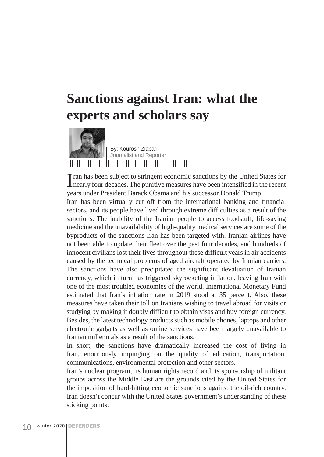## **Sanctions against Iran: what the experts and scholars say**



By: Kourosh Ziabari Journalist and Reporter

I all the seen subject to stringent economic sanctions by the United States for nearly four decades. The punitive measures have been intensified in the recent ran has been subject to stringent economic sanctions by the United States for years under President Barack Obama and his successor Donald Trump.

Iran has been virtually cut off from the international banking and financial sectors, and its people have lived through extreme difficulties as a result of the sanctions. The inability of the Iranian people to access foodstuff, life-saving medicine and the unavailability of high-quality medical services are some of the byproducts of the sanctions Iran has been targeted with. Iranian airlines have not been able to update their fleet over the past four decades, and hundreds of innocent civilians lost their lives throughout these difficult years in air accidents caused by the technical problems of aged aircraft operated by Iranian carriers. The sanctions have also precipitated the significant devaluation of Iranian currency, which in turn has triggered skyrocketing inflation, leaving Iran with one of the most troubled economies of the world. International Monetary Fund estimated that Iran's inflation rate in 2019 stood at 35 percent. Also, these measures have taken their toll on Iranians wishing to travel abroad for visits or studying by making it doubly difficult to obtain visas and buy foreign currency. Besides, the latest technology products such as mobile phones, laptops and other electronic gadgets as well as online services have been largely unavailable to Iranian millennials as a result of the sanctions.

In short, the sanctions have dramatically increased the cost of living in Iran, enormously impinging on the quality of education, transportation, communications, environmental protection and other sectors.

Iran's nuclear program, its human rights record and its sponsorship of militant groups across the Middle East are the grounds cited by the United States for the imposition of hard-hitting economic sanctions against the oil-rich country. Iran doesn't concur with the United States government's understanding of these sticking points.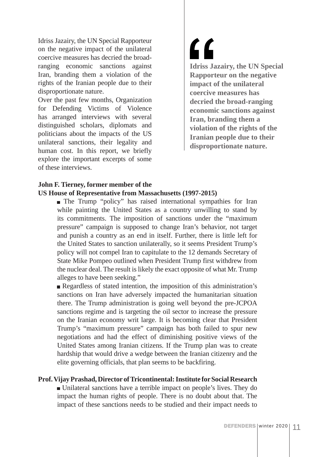Idriss Jazairy, the UN Special Rapporteur on the negative impact of the unilateral coercive measures has decried the broadranging economic sanctions against Iran, branding them a violation of the rights of the Iranian people due to their disproportionate nature.

Over the past few months, Organization for Defending Victims of Violence has arranged interviews with several distinguished scholars, diplomats and politicians about the impacts of the US unilateral sanctions, their legality and human cost. In this report, we briefly explore the important excerpts of some of these interviews.

 $\mathbf{C}$ **Idriss Jazairy, the UN Special Rapporteur on the negative impact of the unilateral coercive measures has decried the broad-ranging economic sanctions against Iran, branding them a violation of the rights of the Iranian people due to their disproportionate nature.** 

## **John F. Tierney, former member of the US House of Representative from Massachusetts (1997-2015)**

The Trump "policy" has raised international sympathies for Iran while painting the United States as a country unwilling to stand by its commitments. The imposition of sanctions under the "maximum pressure" campaign is supposed to change Iran's behavior, not target and punish a country as an end in itself. Further, there is little left for the United States to sanction unilaterally, so it seems President Trump's policy will not compel Iran to capitulate to the 12 demands Secretary of State Mike Pompeo outlined when President Trump first withdrew from the nuclear deal. The result is likely the exact opposite of what Mr. Trump alleges to have been seeking."

Regardless of stated intention, the imposition of this administration's sanctions on Iran have adversely impacted the humanitarian situation there. The Trump administration is going well beyond the pre-JCPOA sanctions regime and is targeting the oil sector to increase the pressure on the Iranian economy writ large. It is becoming clear that President Trump's "maximum pressure" campaign has both failed to spur new negotiations and had the effect of diminishing positive views of the United States among Iranian citizens. If the Trump plan was to create hardship that would drive a wedge between the Iranian citizenry and the elite governing officials, that plan seems to be backfiring.

## **Prof. Vijay Prashad, Director of Tricontinental: Institute for Social Research**

 Unilateral sanctions have a terrible impact on people's lives. They do impact the human rights of people. There is no doubt about that. The impact of these sanctions needs to be studied and their impact needs to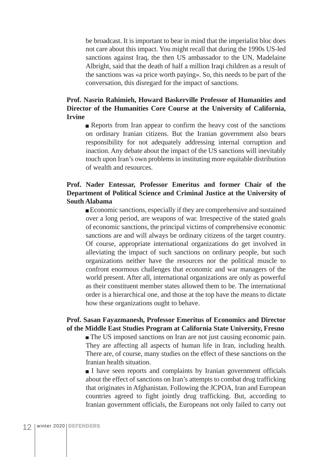be broadcast. It is important to bear in mind that the imperialist bloc does not care about this impact. You might recall that during the 1990s US-led sanctions against Iraq, the then US ambassador to the UN, Madelaine Albright, said that the death of half a million Iraqi children as a result of the sanctions was «a price worth paying». So, this needs to be part of the conversation, this disregard for the impact of sanctions.

## **Prof. Nasrin Rahimieh, Howard Baskerville Professor of Humanities and Director of the Humanities Core Course at the University of California, Irvine**

Reports from Iran appear to confirm the heavy cost of the sanctions on ordinary Iranian citizens. But the Iranian government also bears responsibility for not adequately addressing internal corruption and inaction. Any debate about the impact of the US sanctions will inevitably touch upon Iran's own problems in instituting more equitable distribution of wealth and resources.

## **Prof. Nader Entessar, Professor Emeritus and former Chair of the Department of Political Science and Criminal Justice at the University of South Alabama**

 Economic sanctions, especially if they are comprehensive and sustained over a long period, are weapons of war. Irrespective of the stated goals of economic sanctions, the principal victims of comprehensive economic sanctions are and will always be ordinary citizens of the target country. Of course, appropriate international organizations do get involved in alleviating the impact of such sanctions on ordinary people, but such organizations neither have the resources nor the political muscle to confront enormous challenges that economic and war managers of the world present. After all, international organizations are only as powerful as their constituent member states allowed them to be. The international order is a hierarchical one, and those at the top have the means to dictate how these organizations ought to behave.

## **Prof. Sasan Fayazmanesh, Professor Emeritus of Economics and Director of the Middle East Studies Program at California State University, Fresno**

The US imposed sanctions on Iran are not just causing economic pain. They are affecting all aspects of human life in Iran, including health. There are, of course, many studies on the effect of these sanctions on the Iranian health situation.

I have seen reports and complaints by Iranian government officials about the effect of sanctions on Iran's attempts to combat drug trafficking that originates in Afghanistan. Following the JCPOA, Iran and European countries agreed to fight jointly drug trafficking. But, according to Iranian government officials, the Europeans not only failed to carry out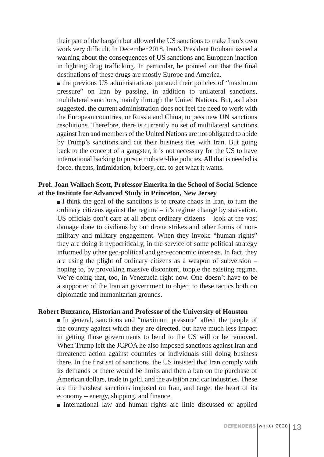their part of the bargain but allowed the US sanctions to make Iran's own work very difficult. In December 2018, Iran's President Rouhani issued a warning about the consequences of US sanctions and European inaction in fighting drug trafficking. In particular, he pointed out that the final destinations of these drugs are mostly Europe and America.

 the previous US administrations pursued their policies of "maximum pressure" on Iran by passing, in addition to unilateral sanctions, multilateral sanctions, mainly through the United Nations. But, as I also suggested, the current administration does not feel the need to work with the European countries, or Russia and China, to pass new UN sanctions resolutions. Therefore, there is currently no set of multilateral sanctions against Iran and members of the United Nations are not obligated to abide by Trump's sanctions and cut their business ties with Iran. But going back to the concept of a gangster, it is not necessary for the US to have international backing to pursue mobster-like policies. All that is needed is force, threats, intimidation, bribery, etc. to get what it wants.

## **Prof. Joan Wallach Scott, Professor Emerita in the School of Social Science at the Institute for Advanced Study in Princeton, New Jersey**

I think the goal of the sanctions is to create chaos in Iran, to turn the ordinary citizens against the regime – it's regime change by starvation. US officials don't care at all about ordinary citizens – look at the vast damage done to civilians by our drone strikes and other forms of nonmilitary and military engagement. When they invoke "human rights" they are doing it hypocritically, in the service of some political strategy informed by other geo-political and geo-economic interests. In fact, they are using the plight of ordinary citizens as a weapon of subversion – hoping to, by provoking massive discontent, topple the existing regime. We're doing that, too, in Venezuela right now. One doesn't have to be a supporter of the Iranian government to object to these tactics both on diplomatic and humanitarian grounds.

## **Robert Buzzanco, Historian and Professor of the University of Houston**

 In general, sanctions and "maximum pressure" affect the people of the country against which they are directed, but have much less impact in getting those governments to bend to the US will or be removed. When Trump left the JCPOA he also imposed sanctions against Iran and threatened action against countries or individuals still doing business there. In the first set of sanctions, the US insisted that Iran comply with its demands or there would be limits and then a ban on the purchase of American dollars, trade in gold, and the aviation and car industries. These are the harshest sanctions imposed on Iran, and target the heart of its economy – energy, shipping, and finance.

International law and human rights are little discussed or applied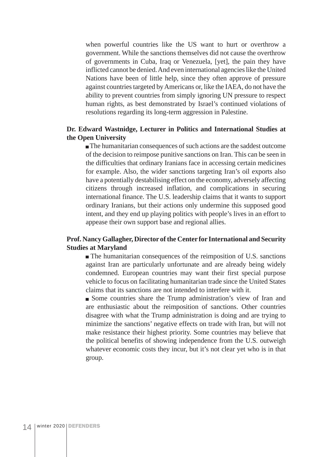when powerful countries like the US want to hurt or overthrow a government. While the sanctions themselves did not cause the overthrow of governments in Cuba, Iraq or Venezuela, [yet], the pain they have inflicted cannot be denied. And even international agencies like the United Nations have been of little help, since they often approve of pressure against countries targeted by Americans or, like the IAEA, do not have the ability to prevent countries from simply ignoring UN pressure to respect human rights, as best demonstrated by Israel's continued violations of resolutions regarding its long-term aggression in Palestine.

### **Dr. Edward Wastnidge, Lecturer in Politics and International Studies at the Open University**

 The humanitarian consequences of such actions are the saddest outcome of the decision to reimpose punitive sanctions on Iran. This can be seen in the difficulties that ordinary Iranians face in accessing certain medicines for example. Also, the wider sanctions targeting Iran's oil exports also have a potentially destabilising effect on the economy, adversely affecting citizens through increased inflation, and complications in securing international finance. The U.S. leadership claims that it wants to support ordinary Iranians, but their actions only undermine this supposed good intent, and they end up playing politics with people's lives in an effort to appease their own support base and regional allies.

## **Prof. Nancy Gallagher, Director of the Center for International and Security Studies at Maryland**

 The humanitarian consequences of the reimposition of U.S. sanctions against Iran are particularly unfortunate and are already being widely condemned. European countries may want their first special purpose vehicle to focus on facilitating humanitarian trade since the United States claims that its sanctions are not intended to interfere with it.

 Some countries share the Trump administration's view of Iran and are enthusiastic about the reimposition of sanctions. Other countries disagree with what the Trump administration is doing and are trying to minimize the sanctions' negative effects on trade with Iran, but will not make resistance their highest priority. Some countries may believe that the political benefits of showing independence from the U.S. outweigh whatever economic costs they incur, but it's not clear yet who is in that group.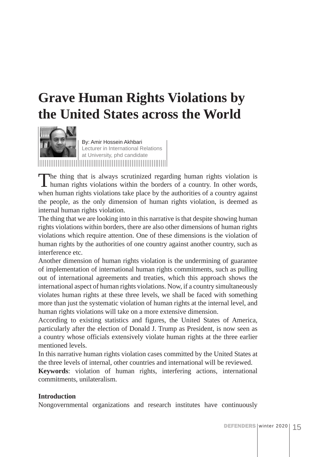## **Grave Human Rights Violations by the United States across the World**



By: Amir Hossein Akhbari Lecturer in International Relations at University, phd candidate

The thing that is always scrutinized regarding human rights violation is human rights violations within the borders of a country. In other words, when human rights violations take place by the authorities of a country against the people, as the only dimension of human rights violation, is deemed as internal human rights violation.

The thing that we are looking into in this narrative is that despite showing human rights violations within borders, there are also other dimensions of human rights violations which require attention. One of these dimensions is the violation of human rights by the authorities of one country against another country, such as interference etc.

Another dimension of human rights violation is the undermining of guarantee of implementation of international human rights commitments, such as pulling out of international agreements and treaties, which this approach shows the international aspect of human rights violations. Now, if a country simultaneously violates human rights at these three levels, we shall be faced with something more than just the systematic violation of human rights at the internal level, and human rights violations will take on a more extensive dimension.

According to existing statistics and figures, the United States of America, particularly after the election of Donald J. Trump as President, is now seen as a country whose officials extensively violate human rights at the three earlier mentioned levels.

In this narrative human rights violation cases committed by the United States at the three levels of internal, other countries and international will be reviewed.

**Keywords**: violation of human rights, interfering actions, international commitments, unilateralism.

## **Introduction**

Nongovernmental organizations and research institutes have continuously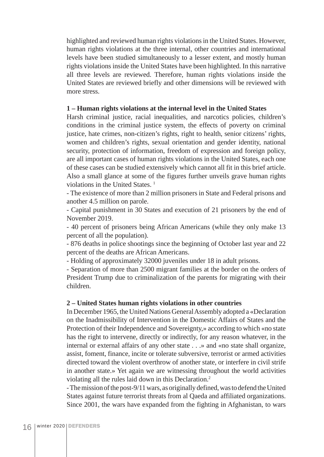highlighted and reviewed human rights violations in the United States. However, human rights violations at the three internal, other countries and international levels have been studied simultaneously to a lesser extent, and mostly human rights violations inside the United States have been highlighted. In this narrative all three levels are reviewed. Therefore, human rights violations inside the United States are reviewed briefly and other dimensions will be reviewed with more stress.

#### **1 – Human rights violations at the internal level in the United States**

Harsh criminal justice, racial inequalities, and narcotics policies, children's conditions in the criminal justice system, the effects of poverty on criminal justice, hate crimes, non-citizen's rights, right to health, senior citizens' rights, women and children's rights, sexual orientation and gender identity, national security, protection of information, freedom of expression and foreign policy, are all important cases of human rights violations in the United States, each one of these cases can be studied extensively which cannot all fit in this brief article. Also a small glance at some of the figures further unveils grave human rights violations in the United States<sup>1</sup>

- The existence of more than 2 million prisoners in State and Federal prisons and another 4.5 million on parole.

- Capital punishment in 30 States and execution of 21 prisoners by the end of November 2019.

- 40 percent of prisoners being African Americans (while they only make 13 percent of all the population).

- 876 deaths in police shootings since the beginning of October last year and 22 percent of the deaths are African Americans.

- Holding of approximately 32000 juveniles under 18 in adult prisons.

- Separation of more than 2500 migrant families at the border on the orders of President Trump due to criminalization of the parents for migrating with their children.

## **2 – United States human rights violations in other countries**

In December 1965, the United Nations General Assembly adopted a «Declaration on the Inadmissibility of Intervention in the Domestic Affairs of States and the Protection of their Independence and Sovereignty,» according to which «no state has the right to intervene, directly or indirectly, for any reason whatever, in the internal or external affairs of any other state . . .» and «no state shall organize, assist, foment, finance, incite or tolerate subversive, terrorist or armed activities directed toward the violent overthrow of another state, or interfere in civil strife in another state.» Yet again we are witnessing throughout the world activities violating all the rules laid down in this Declaration.2

- The mission of the post-9/11 wars, as originally defined, was to defend the United States against future terrorist threats from al Qaeda and affiliated organizations. Since 2001, the wars have expanded from the fighting in Afghanistan, to wars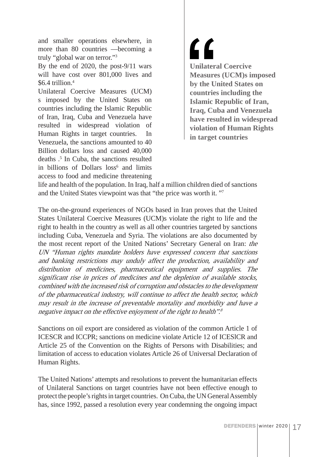and smaller operations elsewhere, in more than 80 countries —becoming a truly "global war on terror."3

By the end of 2020, the post-9/11 wars will have cost over 801,000 lives and  $$6.4$  trillion<sup>4</sup>

Unilateral Coercive Measures (UCM) s imposed by the United States on countries including the Islamic Republic of Iran, Iraq, Cuba and Venezuela have resulted in widespread violation of Human Rights in target countries. In Venezuela, the sanctions amounted to 40 Billion dollars loss and caused 40,000 deaths .5 In Cuba, the sanctions resulted in billions of Dollars loss<sup>6</sup> and limits access to food and medicine threatening

7 ) **Unilateral Coercive Measures (UCM)s imposed by the United States on countries including the Islamic Republic of Iran, Iraq, Cuba and Venezuela have resulted in widespread violation of Human Rights in target countries**

life and health of the population. In Iraq, half a million children died of sanctions and the United States viewpoint was that "the price was worth it. "7

The on-the-ground experiences of NGOs based in Iran proves that the United States Unilateral Coercive Measures (UCM)s violate the right to life and the right to health in the country as well as all other countries targeted by sanctions including Cuba, Venezuela and Syria. The violations are also documented by the most recent report of the United Nations' Secretary General on Iran: the UN "Human rights mandate holders have expressed concern that sanctions and banking restrictions may unduly affect the production, availability and distribution of medicines, pharmaceutical equipment and supplies. The significant rise in prices of medicines and the depletion of available stocks, combined with the increased risk of corruption and obstacles to the development of the pharmaceutical industry, will continue to affect the health sector, which may result in the increase of preventable mortality and morbidity and have a negative impact on the effective enjoyment of the right to health".<sup>8</sup>

Sanctions on oil export are considered as violation of the common Article 1 of ICESCR and ICCPR; sanctions on medicine violate Article 12 of ICESlCR and Article 25 of the Convention on the Rights of Persons with Disabilities; and limitation of access to education violates Article 26 of Universal Declaration of Human Rights.

The United Nations' attempts and resolutions to prevent the humanitarian effects of Unilateral Sanctions on target countries have not been effective enough to protect the people's rights in target countries. On Cuba, the UN General Assembly has, since 1992, passed a resolution every year condemning the ongoing impact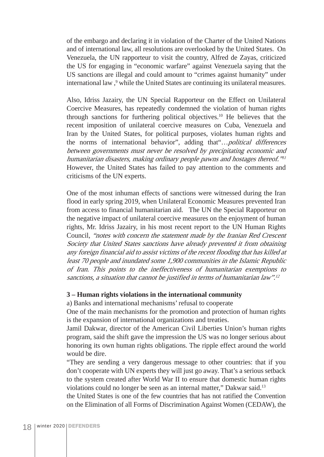of the embargo and declaring it in violation of the Charter of the United Nations and of international law, all resolutions are overlooked by the United States. On Venezuela, the UN rapporteur to visit the country, Alfred de Zayas, criticized the US for engaging in "economic warfare" against Venezuela saying that the US sanctions are illegal and could amount to "crimes against humanity" under international law,<sup>9</sup> while the United States are continuing its unilateral measures.

Also, Idriss Jazairy, the UN Special Rapporteur on the Effect on Unilateral Coercive Measures, has repeatedly condemned the violation of human rights through sanctions for furthering political objectives.10 He believes that the recent imposition of unilateral coercive measures on Cuba, Venezuela and Iran by the United States, for political purposes, violates human rights and the norms of international behavior", adding that"...political differences between governments must never be resolved by precipitating economic and humanitarian disasters, making ordinary people pawns and hostages thereof."<sup>11</sup> However, the United States has failed to pay attention to the comments and criticisms of the UN experts.

One of the most inhuman effects of sanctions were witnessed during the Iran flood in early spring 2019, when Unilateral Economic Measures prevented Iran from access to financial humanitarian aid. The UN the Special Rapporteur on the negative impact of unilateral coercive measures on the enjoyment of human rights, Mr. Idriss Jazairy, in his most recent report to the UN Human Rights Council, "notes with concern the statement made by the Iranian Red Crescent Society that United States sanctions have already prevented it from obtaining any foreign financial aid to assist victims of the recent flooding that has killed at least 70 people and inundated some 1,900 communities in the Islamic Republic of Iran. This points to the ineffectiveness of humanitarian exemptions to sanctions, a situation that cannot be justified in terms of humanitarian law".<sup>12</sup>

#### **3 – Human rights violations in the international community**

a) Banks and international mechanisms' refusal to cooperate

One of the main mechanisms for the promotion and protection of human rights is the expansion of international organizations and treaties.

Jamil Dakwar, director of the American Civil Liberties Union's human rights program, said the shift gave the impression the US was no longer serious about honoring its own human rights obligations. The ripple effect around the world would be dire.

"They are sending a very dangerous message to other countries: that if you don't cooperate with UN experts they will just go away. That's a serious setback to the system created after World War II to ensure that domestic human rights violations could no longer be seen as an internal matter," Dakwar said.13

the United States is one of the few countries that has not ratified the Convention on the Elimination of all Forms of Discrimination Against Women (CEDAW), the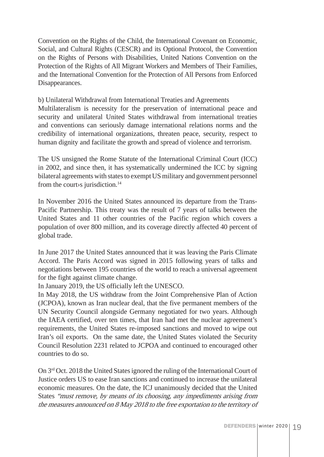Convention on the Rights of the Child, the International Covenant on Economic, Social, and Cultural Rights (CESCR) and its Optional Protocol, the Convention on the Rights of Persons with Disabilities, United Nations Convention on the Protection of the Rights of All Migrant Workers and Members of Their Families, and the International Convention for the Protection of All Persons from Enforced Disappearances.

b) Unilateral Withdrawal from International Treaties and Agreements Multilateralism is necessity for the preservation of international peace and security and unilateral United States withdrawal from international treaties and conventions can seriously damage international relations norms and the credibility of international organizations, threaten peace, security, respect to human dignity and facilitate the growth and spread of violence and terrorism.

The US unsigned the Rome Statute of the International Criminal Court (ICC) in 2002, and since then, it has systematically undermined the ICC by signing bilateral agreements with states to exempt US military and government personnel from the court is jurisdiction.<sup>14</sup>

In November 2016 the United States announced its departure from the Trans-Pacific Partnership. This treaty was the result of 7 years of talks between the United States and 11 other countries of the Pacific region which covers a population of over 800 million, and its coverage directly affected 40 percent of global trade.

In June 2017 the United States announced that it was leaving the Paris Climate Accord. The Paris Accord was signed in 2015 following years of talks and negotiations between 195 countries of the world to reach a universal agreement for the fight against climate change.

In January 2019, the US officially left the UNESCO.

In May 2018, the US withdraw from the Joint Comprehensive Plan of Action (JCPOA), known as Iran nuclear deal, that the five permanent members of the UN Security Council alongside Germany negotiated for two years. Although the IAEA certified, over ten times, that Iran had met the nuclear agreement's requirements, the United States re-imposed sanctions and moved to wipe out Iran's oil exports. On the same date, the United States violated the Security Council Resolution 2231 related to JCPOA and continued to encouraged other countries to do so.

On 3rd Oct. 2018 the United States ignored the ruling of the International Court of Justice orders US to ease Iran sanctions and continued to increase the unilateral economic measures. On the date, the ICJ unanimously decided that the United States "must remove, by means of its choosing, any impediments arising from the measures announced on 8 May 2018 to the free exportation to the territory of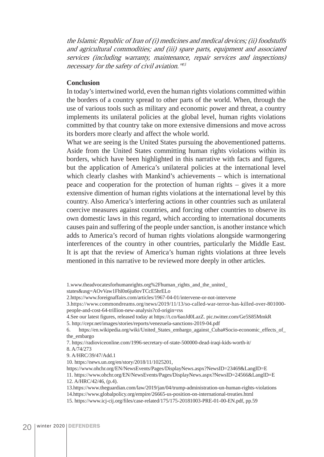the Islamic Republic of Iran of (i) medicines and medical devices; (ii) foodstuffs and agricultural commodities; and (iii) spare parts, equipment and associated services (including warranty, maintenance, repair services and inspections) necessary for the safety of civil aviation."<sup>15</sup>

#### **Conclusion**

In today's intertwined world, even the human rights violations committed within the borders of a country spread to other parts of the world. When, through the use of various tools such as military and economic power and threat, a country implements its unilateral policies at the global level, human rights violations committed by that country take on more extensive dimensions and move across its borders more clearly and affect the whole world.

What we are seeing is the United States pursuing the abovementioned patterns. Aside from the United States committing human rights violations within its borders, which have been highlighted in this narrative with facts and figures, but the application of America's unilateral policies at the international level which clearly clashes with Mankind's achievements – which is international peace and cooperation for the protection of human rights – gives it a more extensive dimention of human rights violations at the international level by this country. Also America's interfering actions in other countries such as unilateral coercive measures against countries, and forcing other countries to observe its own domestic laws in this regard, which according to international documents causes pain and suffering of the people under sanction, is another instance which adds to America's record of human rights violations alongside warmongering interferences of the country in other countries, particularly the Middle East. It is apt that the review of America's human rights violations at three levels mentioned in this narrative to be reviewed more deeply in other articles.

4.See our latest figures, released today at https://t.co/6aoJd0LazZ. pic.twitter.com/Ge5S85MmkR 5. http://cepr.net/images/stories/reports/venezuela-sanctions-2019-04.pdf

6. https://en.wikipedia.org/wiki/United\_States\_embargo\_against\_Cuba#Socio-economic\_effects\_of\_ the\_embargo

7. https://radioviceonline.com/1996-secretary-of-state-500000-dead-iraqi-kids-worth-it/

8. A/74/273

9. A/HRC/39/47/Add.1

10. https://news.un.org/en/story/2018/11/1025201,

https://www.ohchr.org/EN/NewsEvents/Pages/DisplayNews.aspx?NewsID=23469&LangID=E

11. https://www.ohchr.org/EN/NewsEvents/Pages/DisplayNews.aspx?NewsID=24566&LangID=E 12. A/HRC/42/46, (p.4).

13.https://www.theguardian.com/law/2019/jan/04/trump-administration-un-human-rights-violations 14.https://www.globalpolicy.org/empire/26665-us-position-on-international-treaties.html 15. https://www.icj-cij.org/files/case-related/175/175-20181003-PRE-01-00-EN.pdf, pp.59

<sup>1.</sup>www.theadvocatesforhumanrights.org%2Fhuman\_rights\_and\_the\_united\_

states&usg=AOvVaw1Fhl0n6ju8ovTCcE5hrELo

<sup>2.</sup>https://www.foreignaffairs.com/articles/1967-04-01/intervene-or-not-intervene

<sup>3.</sup>https://www.commondreams.org/news/2019/11/13/so-called-war-terror-has-killed-over-801000 people-and-cost-64-trillion-new-analysis?cd-origin=rss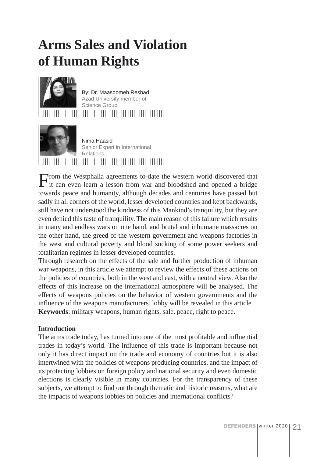## **Arms Sales and Violation of Human Rights**



By: Dr. Maasoomeh Reshad Azad University member of Science Group 



Nima Haasid Senior Expert in International Relations

From the Westphalia agreements to-date the western world discovered that it can even learn a lesson from war and bloodshed and opened a bridge towards peace and humanity, although decades and centuries have passed but sadly in all corners of the world, lesser developed countries and kept backwards, still have not understood the kindness of this Mankind's tranquility, but they are even denied this taste of tranquility. The main reason of this failure which results in many and endless wars on one hand, and brutal and inhumane massacres on the other hand, the greed of the western government and weapons factories in the west and cultural poverty and blood sucking of some power seekers and totalitarian regimes in lesser developed countries.

Through research on the effects of the sale and further production of inhuman war weapons, in this article we attempt to review the effects of these actions on the policies of countries, both in the west and east, with a neutral view. Also the effects of this increase on the international atmosphere will be analysed. The effects of weapons policies on the behavior of western governments and the influence of the weapons manufacturers' lobby will be revealed in this article. **Keywords**: military weapons, human rights, sale, peace, right to peace.

## **Introduction**

The arms trade today, has turned into one of the most profitable and influential trades in today's world. The influence of this trade is important because not only it has direct impact on the trade and economy of countries but it is also intertwined with the policies of weapons producing countries, and the impact of its protecting lobbies on foreign policy and national security and even domestic elections is clearly visible in many countries. For the transparency of these subjects, we attempt to find out through thematic and historic reasons, what are the impacts of weapons lobbies on policies and international conflicts?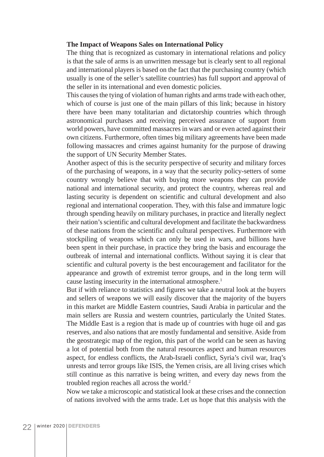#### **The Impact of Weapons Sales on International Policy**

The thing that is recognized as customary in international relations and policy is that the sale of arms is an unwritten message but is clearly sent to all regional and international players is based on the fact that the purchasing country (which usually is one of the seller's satellite countries) has full support and approval of the seller in its international and even domestic policies.

This causes the tying of violation of human rights and arms trade with each other, which of course is just one of the main pillars of this link; because in history there have been many totalitarian and dictatorship countries which through astronomical purchases and receiving perceived assurance of support from world powers, have committed massacres in wars and or even acted against their own citizens. Furthermore, often times big military agreements have been made following massacres and crimes against humanity for the purpose of drawing the support of UN Security Member States.

Another aspect of this is the security perspective of security and military forces of the purchasing of weapons, in a way that the security policy-setters of some country wrongly believe that with buying more weapons they can provide national and international security, and protect the country, whereas real and lasting security is dependent on scientific and cultural development and also regional and international cooperation. They, with this false and immature logic through spending heavily on military purchases, in practice and literally neglect their nation's scientific and cultural development and facilitate the backwardness of these nations from the scientific and cultural perspectives. Furthermore with stockpiling of weapons which can only be used in wars, and billions have been spent in their purchase, in practice they bring the basis and encourage the outbreak of internal and international conflicts. Without saying it is clear that scientific and cultural poverty is the best encouragement and facilitator for the appearance and growth of extremist terror groups, and in the long term will cause lasting insecurity in the international atmosphere.<sup>1</sup>

But if with reliance to statistics and figures we take a neutral look at the buyers and sellers of weapons we will easily discover that the majority of the buyers in this market are Middle Eastern countries, Saudi Arabia in particular and the main sellers are Russia and western countries, particularly the United States. The Middle East is a region that is made up of countries with huge oil and gas reserves, and also nations that are mostly fundamental and sensitive. Aside from the geostrategic map of the region, this part of the world can be seen as having a lot of potential both from the natural resources aspect and human resources aspect, for endless conflicts, the Arab-Israeli conflict, Syria's civil war, Iraq's unrests and terror groups like ISIS, the Yemen crisis, are all living crises which still continue as this narrative is being written, and every day news from the troubled region reaches all across the world.2

Now we take a microscopic and statistical look at these crises and the connection of nations involved with the arms trade. Let us hope that this analysis with the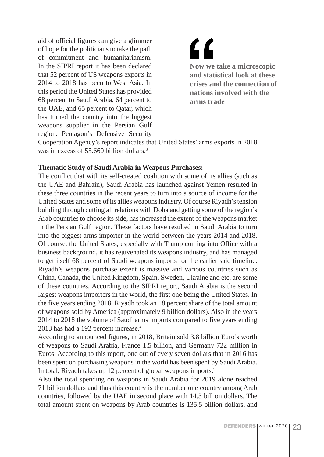aid of official figures can give a glimmer of hope for the politicians to take the path of commitment and humanitarianism. In the SIPRI report it has been declared that 52 percent of US weapons exports in 2014 to 2018 has been to West Asia. In this period the United States has provided 68 percent to Saudi Arabia, 64 percent to the UAE, and 65 percent to Qatar, which has turned the country into the biggest weapons supplier in the Persian Gulf region. Pentagon's Defensive Security

<u>"</u> **Now we take a microscopic and statistical look at these crises and the connection of nations involved with the arms trade**

Cooperation Agency's report indicates that United States' arms exports in 2018 was in excess of 55,660 billion dollars.<sup>3</sup>

#### **Thematic Study of Saudi Arabia in Weapons Purchases:**

The conflict that with its self-created coalition with some of its allies (such as the UAE and Bahrain), Saudi Arabia has launched against Yemen resulted in these three countries in the recent years to turn into a source of income for the United States and some of its allies weapons industry. Of course Riyadh's tension building through cutting all relations with Doha and getting some of the region's Arab countries to choose its side, has increased the extent of the weapons market in the Persian Gulf region. These factors have resulted in Saudi Arabia to turn into the biggest arms importer in the world between the years 2014 and 2018. Of course, the United States, especially with Trump coming into Office with a business background, it has rejuvenated its weapons industry, and has managed to get itself 68 percent of Saudi weapons imports for the earlier said timeline. Riyadh's weapons purchase extent is massive and various countries such as China, Canada, the United Kingdom, Spain, Sweden, Ukraine and etc. are some of these countries. According to the SIPRI report, Saudi Arabia is the second largest weapons importers in the world, the first one being the United States. In the five years ending 2018, Riyadh took an 18 percent share of the total amount of weapons sold by America (approximately 9 billion dollars). Also in the years 2014 to 2018 the volume of Saudi arms imports compared to five years ending 2013 has had a 192 percent increase.<sup>4</sup>

According to announced figures, in 2018, Britain sold 3.8 billion Euro's worth of weapons to Saudi Arabia, France 1.5 billion, and Germany 722 million in Euros. According to this report, one out of every seven dollars that in 2016 has been spent on purchasing weapons in the world has been spent by Saudi Arabia. In total, Riyadh takes up 12 percent of global weapons imports.<sup>5</sup>

Also the total spending on weapons in Saudi Arabia for 2019 alone reached 71 billion dollars and thus this country is the number one country among Arab countries, followed by the UAE in second place with 14.3 billion dollars. The total amount spent on weapons by Arab countries is 135.5 billion dollars, and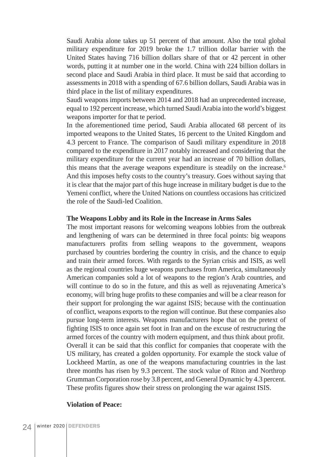Saudi Arabia alone takes up 51 percent of that amount. Also the total global military expenditure for 2019 broke the 1.7 trillion dollar barrier with the United States having 716 billion dollars share of that or 42 percent in other words, putting it at number one in the world. China with 224 billion dollars in second place and Saudi Arabia in third place. It must be said that according to assessments in 2018 with a spending of 67.6 billion dollars, Saudi Arabia was in third place in the list of military expenditures.

Saudi weapons imports between 2014 and 2018 had an unprecedented increase, equal to 192 percent increase, which turned Saudi Arabia into the world's biggest weapons importer for that te period.

In the aforementioned time period, Saudi Arabia allocated 68 percent of its imported weapons to the United States, 16 percent to the United Kingdom and 4.3 percent to France. The comparison of Saudi military expenditure in 2018 compared to the expenditure in 2017 notably increased and considering that the military expenditure for the current year had an increase of 70 billion dollars, this means that the average weapons expenditure is steadily on the increase.<sup>6</sup> And this imposes hefty costs to the country's treasury. Goes without saying that it is clear that the major part of this huge increase in military budget is due to the Yemeni conflict, where the United Nations on countless occasions has criticized the role of the Saudi-led Coalition.

#### **The Weapons Lobby and its Role in the Increase in Arms Sales**

The most important reasons for welcoming weapons lobbies from the outbreak and lengthening of wars can be determined in three focal points: big weapons manufacturers profits from selling weapons to the government, weapons purchased by countries bordering the country in crisis, and the chance to equip and train their armed forces. With regards to the Syrian crisis and ISIS, as well as the regional countries huge weapons purchases from America, simultaneously American companies sold a lot of weapons to the region's Arab countries, and will continue to do so in the future, and this as well as rejuvenating America's economy, will bring huge profits to these companies and will be a clear reason for their support for prolonging the war against ISIS; because with the continuation of conflict, weapons exports to the region will continue. But these companies also pursue long-term interests. Weapons manufacturers hope that on the pretext of fighting ISIS to once again set foot in Iran and on the excuse of restructuring the armed forces of the country with modern equipment, and thus think about profit. Overall it can be said that this conflict for companies that cooperate with the US military, has created a golden opportunity. For example the stock value of Lockheed Martin, as one of the weapons manufacturing countries in the last three months has risen by 9.3 percent. The stock value of Riton and Northrop Grumman Corporation rose by 3.8 percent, and General Dynamic by 4.3 percent. These profits figures show their stress on prolonging the war against ISIS.

#### **Violation of Peace:**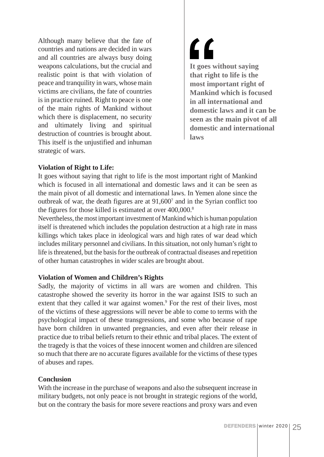Although many believe that the fate of countries and nations are decided in wars and all countries are always busy doing weapons calculations, but the crucial and realistic point is that with violation of peace and tranquility in wars, whose main victims are civilians, the fate of countries is in practice ruined. Right to peace is one of the main rights of Mankind without which there is displacement, no security and ultimately living and spiritual destruction of countries is brought about. This itself is the unjustified and inhuman strategic of wars.

 $\mathbf{C}$ **It goes without saying that right to life is the most important right of Mankind which is focused in all international and domestic laws and it can be seen as the main pivot of all domestic and international laws**

#### **Violation of Right to Life:**

It goes without saying that right to life is the most important right of Mankind which is focused in all international and domestic laws and it can be seen as the main pivot of all domestic and international laws. In Yemen alone since the outbreak of war, the death figures are at 91,6007 and in the Syrian conflict too the figures for those killed is estimated at over 400,000.<sup>8</sup>

Nevertheless, the most important investment of Mankind which is human population itself is threatened which includes the population destruction at a high rate in mass killings which takes place in ideological wars and high rates of war dead which includes military personnel and civilians. In this situation, not only human's right to life is threatened, but the basis for the outbreak of contractual diseases and repetition of other human catastrophes in wider scales are brought about.

## **Violation of Women and Children's Rights**

Sadly, the majority of victims in all wars are women and children. This catastrophe showed the severity its horror in the war against ISIS to such an extent that they called it war against women.<sup>9</sup> For the rest of their lives, most of the victims of these aggressions will never be able to come to terms with the psychological impact of these transgressions, and some who because of rape have born children in unwanted pregnancies, and even after their release in practice due to tribal beliefs return to their ethnic and tribal places. The extent of the tragedy is that the voices of these innocent women and children are silenced so much that there are no accurate figures available for the victims of these types of abuses and rapes.

#### **Conclusion**

With the increase in the purchase of weapons and also the subsequent increase in military budgets, not only peace is not brought in strategic regions of the world, but on the contrary the basis for more severe reactions and proxy wars and even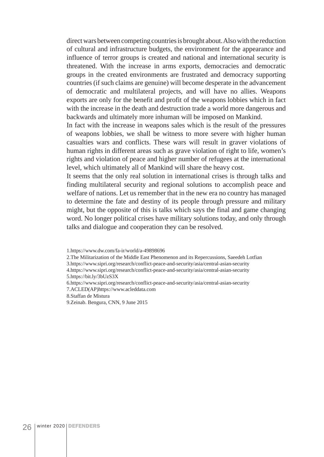direct wars between competing countries is brought about. Also with the reduction of cultural and infrastructure budgets, the environment for the appearance and influence of terror groups is created and national and international security is threatened. With the increase in arms exports, democracies and democratic groups in the created environments are frustrated and democracy supporting countries (if such claims are genuine) will become desperate in the advancement of democratic and multilateral projects, and will have no allies. Weapons exports are only for the benefit and profit of the weapons lobbies which in fact with the increase in the death and destruction trade a world more dangerous and backwards and ultimately more inhuman will be imposed on Mankind.

In fact with the increase in weapons sales which is the result of the pressures of weapons lobbies, we shall be witness to more severe with higher human casualties wars and conflicts. These wars will result in graver violations of human rights in different areas such as grave violation of right to life, women's rights and violation of peace and higher number of refugees at the international level, which ultimately all of Mankind will share the heavy cost.

It seems that the only real solution in international crises is through talks and finding multilateral security and regional solutions to accomplish peace and welfare of nations. Let us remember that in the new era no country has managed to determine the fate and destiny of its people through pressure and military might, but the opposite of this is talks which says the final and game changing word. No longer political crises have military solutions today, and only through talks and dialogue and cooperation they can be resolved.

<sup>1.</sup>https://www.dw.com/fa-ir/world/a-49898696

<sup>2.</sup>The Militarization of the Middle East Phenomenon and its Repercussions, Saeedeh Lotfian

<sup>3.</sup>https://www.sipri.org/research/conflict-peace-and-security/asia/central-asian-security

<sup>4.</sup>https://www.sipri.org/research/conflict-peace-and-security/asia/central-asian-security 5.https://bit.ly/3bUzS3X

<sup>6.</sup>https://www.sipri.org/research/conflict-peace-and-security/asia/central-asian-security

<sup>7.</sup>ACLED(AP)https://www.acleddata.com

<sup>8.</sup>Staffan de Mistura

<sup>9.</sup>Zeinab. Bengura, CNN, 9 June 2015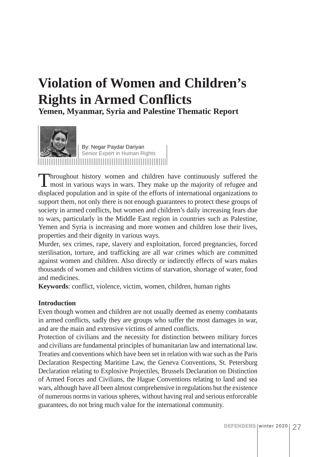## **Violation of Women and Children's Rights in Armed Conflicts**

**Yemen, Myanmar, Syria and Palestine Thematic Report**



By: Negar Paydar Dariyan Senior Expert in Human Rights

Throughout history women and children have continuously suffered the most in various ways in wars. They make up the majority of refugee and displaced population and in spite of the efforts of international organizations to support them, not only there is not enough guarantees to protect these groups of society in armed conflicts, but women and children's daily increasing fears due to wars, particularly in the Middle East region in countries such as Palestine, Yemen and Syria is increasing and more women and children lose their lives, properties and their dignity in various ways.

Murder, sex crimes, rape, slavery and exploitation, forced pregnancies, forced sterilisation, torture, and trafficking are all war crimes which are committed against women and children. Also directly or indirectly effects of wars makes thousands of women and children victims of starvation, shortage of water, food and medicines.

**Keywords**: conflict, violence, victim, women, children, human rights

## **Introduction**

Even though women and children are not usually deemed as enemy combatants in armed conflicts, sadly they are groups who suffer the most damages in war, and are the main and extensive victims of armed conflicts.

Protection of civilians and the necessity for distinction between military forces and civilians are fundamental principles of humanitarian law and international law. Treaties and conventions which have been set in relation with war such as the Paris Declaration Respecting Maritime Law, the Geneva Conventions, St. Petersburg Declaration relating to Explosive Projectiles, Brussels Declaration on Distinction of Armed Forces and Civilians, the Hague Conventions relating to land and sea wars, although have all been almost comprehensive in regulations but the existence of numerous norms in various spheres, without having real and serious enforceable guarantees, do not bring much value for the international community.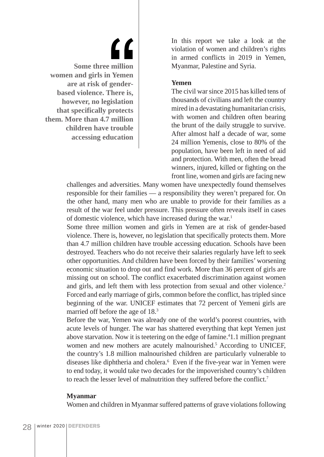## $\iota\iota$ **Some three million women and girls in Yemen are at risk of genderbased violence. There is, however, no legislation that specifically protects them. More than 4.7 million children have trouble accessing education**

In this report we take a look at the violation of women and children's rights in armed conflicts in 2019 in Yemen, Myanmar, Palestine and Syria.

#### **Yemen**

The civil war since 2015 has killed tens of thousands of civilians and left the country mired in a devastating humanitarian crisis, with women and children often bearing the brunt of the daily struggle to survive. After almost half a decade of war, some 24 million Yemenis, close to 80% of the population, have been left in need of aid and protection. With men, often the bread winners, injured, killed or fighting on the front line, women and girls are facing new

challenges and adversities. Many women have unexpectedly found themselves responsible for their families — a responsibility they weren't prepared for. On the other hand, many men who are unable to provide for their families as a result of the war feel under pressure. This pressure often reveals itself in cases of domestic violence, which have increased during the war.<sup>1</sup>

Some three million women and girls in Yemen are at risk of gender-based violence. There is, however, no legislation that specifically protects them. More than 4.7 million children have trouble accessing education. Schools have been destroyed. Teachers who do not receive their salaries regularly have left to seek other opportunities. And children have been forced by their families' worsening economic situation to drop out and find work. More than 36 percent of girls are missing out on school. The conflict exacerbated discrimination against women and girls, and left them with less protection from sexual and other violence.<sup>2</sup> Forced and early marriage of girls, common before the conflict, has tripled since beginning of the war. UNICEF estimates that 72 percent of Yemeni girls are married off before the age of 18.3

Before the war, Yemen was already one of the world's poorest countries, with acute levels of hunger. The war has shattered everything that kept Yemen just above starvation. Now it is teetering on the edge of famine.<sup>4</sup>1.1 million pregnant women and new mothers are acutely malnourished.<sup>5</sup> According to UNICEF, the country's 1.8 million malnourished children are particularly vulnerable to diseases like diphtheria and cholera.6 Even if the five-year war in Yemen were to end today, it would take two decades for the impoverished country's children to reach the lesser level of malnutrition they suffered before the conflict.7

#### **Myanmar**

Women and children in Myanmar suffered patterns of grave violations following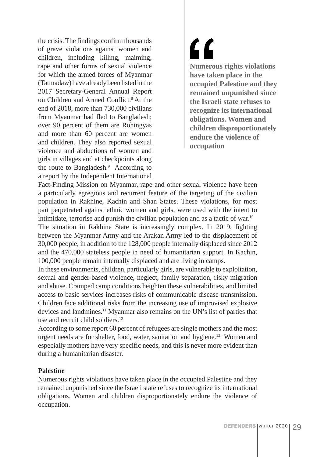the crisis. The findings confirm thousands of grave violations against women and children, including killing, maiming, rape and other forms of sexual violence for which the armed forces of Myanmar (Tatmadaw) have already been listed in the 2017 Secretary-General Annual Report on Children and Armed Conflict.8 At the end of 2018, more than 730,000 civilians from Myanmar had fled to Bangladesh; over 90 percent of them are Rohingyas and more than 60 percent are women and children. They also reported sexual violence and abductions of women and girls in villages and at checkpoints along the route to Bangladesh.9 According to a report by the Independent International

 $\epsilon$ **Numerous rights violations have taken place in the occupied Palestine and they remained unpunished since the Israeli state refuses to recognize its international obligations. Women and children disproportionately endure the violence of occupation**

Fact-Finding Mission on Myanmar, rape and other sexual violence have been a particularly egregious and recurrent feature of the targeting of the civilian population in Rakhine, Kachin and Shan States. These violations, for most part perpetrated against ethnic women and girls, were used with the intent to intimidate, terrorise and punish the civilian population and as a tactic of war.<sup>10</sup> The situation in Rakhine State is increasingly complex. In 2019, fighting between the Myanmar Army and the Arakan Army led to the displacement of 30,000 people, in addition to the 128,000 people internally displaced since 2012 and the 470,000 stateless people in need of humanitarian support. In Kachin, 100,000 people remain internally displaced and are living in camps.

In these environments, children, particularly girls, are vulnerable to exploitation, sexual and gender-based violence, neglect, family separation, risky migration and abuse. Cramped camp conditions heighten these vulnerabilities, and limited access to basic services increases risks of communicable disease transmission. Children face additional risks from the increasing use of improvised explosive devices and landmines.<sup>11</sup> Myanmar also remains on the UN's list of parties that use and recruit child soldiers.<sup>12</sup>

According to some report 60 percent of refugees are single mothers and the most urgent needs are for shelter, food, water, sanitation and hygiene.<sup>13</sup> Women and especially mothers have very specific needs, and this is never more evident than during a humanitarian disaster.

#### **Palestine**

Numerous rights violations have taken place in the occupied Palestine and they remained unpunished since the Israeli state refuses to recognize its international obligations. Women and children disproportionately endure the violence of occupation.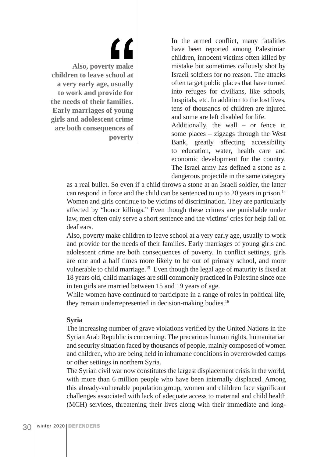<u>C C</u> **Also, poverty make children to leave school at a very early age, usually to work and provide for the needs of their families. Early marriages of young girls and adolescent crime are both consequences of poverty**

In the armed conflict, many fatalities have been reported among Palestinian children, innocent victims often killed by mistake but sometimes callously shot by Israeli soldiers for no reason. The attacks often target public places that have turned into refuges for civilians, like schools, hospitals, etc. In addition to the lost lives, tens of thousands of children are injured and some are left disabled for life.

Additionally, the wall – or fence in some places – zigzags through the West Bank, greatly affecting accessibility to education, water, health care and economic development for the country. The Israel army has defined a stone as a dangerous projectile in the same category

as a real bullet. So even if a child throws a stone at an Israeli soldier, the latter can respond in force and the child can be sentenced to up to 20 years in prison.<sup>14</sup> Women and girls continue to be victims of discrimination. They are particularly affected by "honor killings." Even though these crimes are punishable under law, men often only serve a short sentence and the victims' cries for help fall on deaf ears.

Also, poverty make children to leave school at a very early age, usually to work and provide for the needs of their families. Early marriages of young girls and adolescent crime are both consequences of poverty. In conflict settings, girls are one and a half times more likely to be out of primary school, and more vulnerable to child marriage.<sup>15</sup> Even though the legal age of maturity is fixed at 18 years old, child marriages are still commonly practiced in Palestine since one in ten girls are married between 15 and 19 years of age.

While women have continued to participate in a range of roles in political life, they remain underrepresented in decision-making bodies.16

#### **Syria**

The increasing number of grave violations verified by the United Nations in the Syrian Arab Republic is concerning. The precarious human rights, humanitarian and security situation faced by thousands of people, mainly composed of women and children, who are being held in inhumane conditions in overcrowded camps or other settings in northern Syria.

The Syrian civil war now constitutes the largest displacement crisis in the world, with more than 6 million people who have been internally displaced. Among this already-vulnerable population group, women and children face significant challenges associated with lack of adequate access to maternal and child health (MCH) services, threatening their lives along with their immediate and long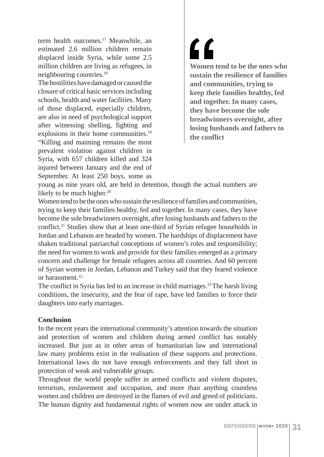term health outcomes.<sup>17</sup> Meanwhile, an estimated 2.6 million children remain displaced inside Syria, while some 2.5 million children are living as refugees, in neighbouring countries.18

The hostilities have damaged or caused the closure of critical basic services including schools, health and water facilities. Many of those displaced, especially children, are also in need of psychological support after witnessing shelling, fighting and explosions in their home communities.<sup>19</sup> "Killing and maiming remains the most prevalent violation against children in Syria, with 657 children killed and 324 injured between January and the end of September. At least 250 boys, some as  $\mathbf{C}$ **Women tend to be the ones who sustain the resilience of families and communities, trying to keep their families healthy, fed and together. In many cases, they have become the sole breadwinners overnight, after losing husbands and fathers to the conflict**

young as nine years old, are held in detention, though the actual numbers are likely to be much higher. $20$ 

Women tend to be the ones who sustain the resilience of families and communities, trying to keep their families healthy, fed and together. In many cases, they have become the sole breadwinners overnight, after losing husbands and fathers to the conflict.21 Studies show that at least one-third of Syrian refugee households in Jordan and Lebanon are headed by women. The hardships of displacement have shaken traditional patriarchal conceptions of women's roles and responsibility; the need for women to work and provide for their families emerged as a primary concern and challenge for female refugees across all countries. And 60 percent of Syrian women in Jordan, Lebanon and Turkey said that they feared violence or harassment<sup>22</sup>

The conflict in Syria has led to an increase in child marriages.<sup>23</sup> The harsh living conditions, the insecurity, and the fear of rape, have led families to force their daughters into early marriages.

#### **Conclusion**

In the recent years the international community's attention towards the situation and protection of women and children during armed conflict has notably increased. But just as in other areas of humanitarian law and international law many problems exist in the realisation of these supports and protections. International laws do not have enough enforcements and they fall short in protection of weak and vulnerable groups.

Throughout the world people suffer in armed conflicts and violent disputes, terrorism, enslavement and occupation, and more than anything countless women and children are destroyed in the flames of evil and greed of politicians. The human dignity and fundamental rights of women now are under attack in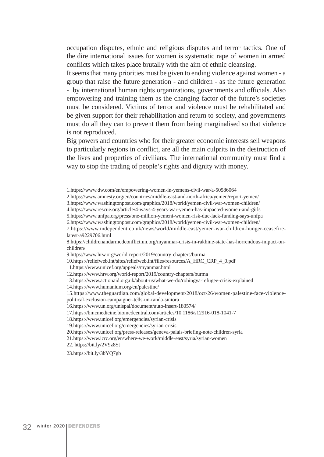occupation disputes, ethnic and religious disputes and terror tactics. One of the dire international issues for women is systematic rape of women in armed conflicts which takes place brutally with the aim of ethnic cleansing.

It seems that many priorities must be given to ending violence against women - a group that raise the future generation - and children - as the future generation - by international human rights organizations, governments and officials. Also empowering and training them as the changing factor of the future's societies must be considered. Victims of terror and violence must be rehabilitated and be given support for their rehabilitation and return to society, and governments must do all they can to prevent them from being marginalised so that violence is not reproduced.

Big powers and countries who for their greater economic interests sell weapons to particularly regions in conflict, are all the main culprits in the destruction of the lives and properties of civilians. The international community must find a way to stop the trading of people's rights and dignity with money.

8.https://childrenandarmedconflict.un.org/myanmar-crisis-in-rakhine-state-has-horrendous-impact-onchildren/

9.https://www.hrw.org/world-report/2019/country-chapters/burma

10.https://reliefweb.int/sites/reliefweb.int/files/resources/A\_HRC\_CRP\_4\_0.pdf

11.https://www.unicef.org/appeals/myanmar.html

12.https://www.hrw.org/world-report/2019/country-chapters/burma

14.https://www.humanium.org/en/palestine/

15.https://www.theguardian.com/global-development/2018/oct/26/women-palestine-face-violence-

political-exclusion-campaigner-tells-un-randa-siniora

20.https://www.unicef.org/press-releases/geneva-palais-briefing-note-children-syria

21.https://www.icrc.org/en/where-we-work/middle-east/syria/syrian-women

22. https://bit.ly/2V9z8St

23.https://bit.ly/3bYQ7gb

<sup>1.</sup>https://www.dw.com/en/empowering-women-in-yemens-civil-war/a-50586064

<sup>2.</sup>https://www.amnesty.org/en/countries/middle-east-and-north-africa/yemen/report-yemen/

<sup>3.</sup>https://www.washingtonpost.com/graphics/2018/world/yemen-civil-war-women-children/

<sup>4.</sup>https://www.rescue.org/article/4-ways-4-years-war-yemen-has-impacted-women-and-girls

<sup>5.</sup>https://www.unfpa.org/press/one-million-yemeni-women-risk-due-lack-funding-says-unfpa

<sup>6.</sup>https://www.washingtonpost.com/graphics/2018/world/yemen-civil-war-women-children/

<sup>7.</sup>https://www.independent.co.uk/news/world/middle-east/yemen-war-children-hunger-ceasefirelatest-a9229706.html

<sup>13.</sup>https://www.actionaid.org.uk/about-us/what-we-do/rohingya-refugee-crisis-explained

<sup>16.</sup>https://www.un.org/unispal/document/auto-insert-180574/

<sup>17.</sup>https://bmcmedicine.biomedcentral.com/articles/10.1186/s12916-018-1041-7

<sup>18.</sup>https://www.unicef.org/emergencies/syrian-crisis

<sup>19.</sup>https://www.unicef.org/emergencies/syrian-crisis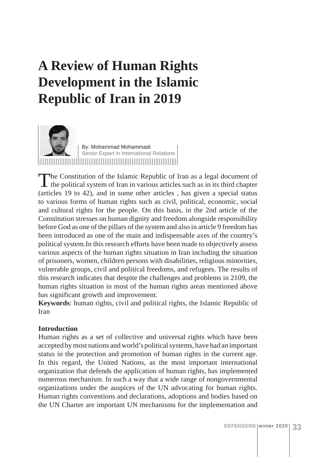## **A Review of Human Rights Development in the Islamic Republic of Iran in 2019**



The Constitution of the Islamic Republic of Iran as a legal document of the political system of Iran in various articles such as in its third chapter (articles 19 to 42), and in some other articles , has given a special status to various forms of human rights such as civil, political, economic, social and cultural rights for the people. On this basis, in the 2nd article of the Constitution stresses on human dignity and freedom alongside responsibility before God as one of the pillars of the system and also in article 9 freedom has been introduced as one of the main and indispensable axes of the country's political system.In this research efforts have been made to objectively assess various aspects of the human rights situation in Iran including the situation of prisoners, women, children persons with disabilities, religious minorities, vulnerable groups, civil and political freedoms, and refugees. The results of this research indicates that despite the challenges and problems in 2109, the human rights situation in most of the human rights areas mentioned above has significant growth and improvement.

**Keywords**: human rights, civil and political rights, the Islamic Republic of Iran

## **Introduction**

Human rights as a set of collective and universal rights which have been accepted by most nations and world's political systems, have had an important status in the protection and promotion of human rights in the current age. In this regard, the United Nations, as the most important international organization that defends the application of human rights, has implemented numerous mechanism. In such a way that a wide range of nongovernmental organizations under the auspices of the UN advocating for human rights. Human rights conventions and declarations, adoptions and bodies based on the UN Charter are important UN mechanisms for the implementation and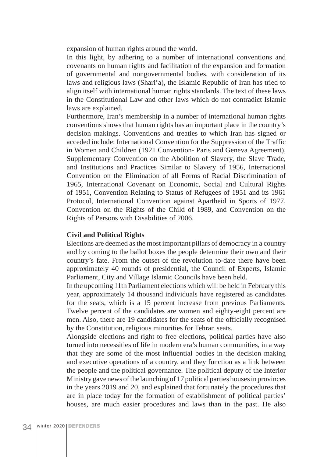expansion of human rights around the world.

In this light, by adhering to a number of international conventions and covenants on human rights and facilitation of the expansion and formation of governmental and nongovernmental bodies, with consideration of its laws and religious laws (Shari'a), the Islamic Republic of Iran has tried to align itself with international human rights standards. The text of these laws in the Constitutional Law and other laws which do not contradict Islamic laws are explained.

Furthermore, Iran's membership in a number of international human rights conventions shows that human rights has an important place in the country's decision makings. Conventions and treaties to which Iran has signed or acceded include: International Convention for the Suppression of the Traffic in Women and Children (1921 Convention- Paris and Geneva Agreement), Supplementary Convention on the Abolition of Slavery, the Slave Trade, and Institutions and Practices Similar to Slavery of 1956, International Convention on the Elimination of all Forms of Racial Discrimination of 1965, International Covenant on Economic, Social and Cultural Rights of 1951, Convention Relating to Status of Refugees of 1951 and its 1961 Protocol, International Convention against Apartheid in Sports of 1977, Convention on the Rights of the Child of 1989, and Convention on the Rights of Persons with Disabilities of 2006.

#### **Civil and Political Rights**

Elections are deemed as the most important pillars of democracy in a country and by coming to the ballot boxes the people determine their own and their country's fate. From the outset of the revolution to-date there have been approximately 40 rounds of presidential, the Council of Experts, Islamic Parliament, City and Village Islamic Councils have been held.

In the upcoming 11th Parliament elections which will be held in February this year, approximately 14 thousand individuals have registered as candidates for the seats, which is a 15 percent increase from previous Parliaments. Twelve percent of the candidates are women and eighty-eight percent are men. Also, there are 19 candidates for the seats of the officially recognised by the Constitution, religious minorities for Tehran seats.

Alongside elections and right to free elections, political parties have also turned into necessities of life in modern era's human communities, in a way that they are some of the most influential bodies in the decision making and executive operations of a country, and they function as a link between the people and the political governance. The political deputy of the Interior Ministry gave news of the launching of 17 political parties houses in provinces in the years 2019 and 20, and explained that fortunately the procedures that are in place today for the formation of establishment of political parties' houses, are much easier procedures and laws than in the past. He also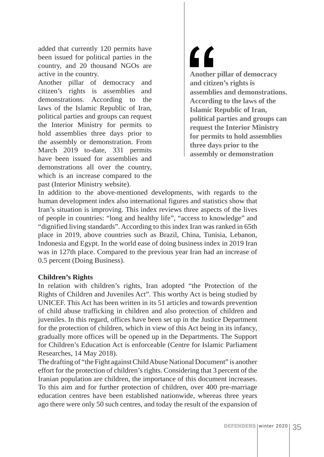added that currently 120 permits have been issued for political parties in the country, and 20 thousand NGOs are active in the country.

Another pillar of democracy and citizen's rights is assemblies and demonstrations. According to the laws of the Islamic Republic of Iran, political parties and groups can request the Interior Ministry for permits to hold assemblies three days prior to the assembly or demonstration. From March 2019 to-date, 331 permits have been issued for assemblies and demonstrations all over the country, which is an increase compared to the past (Interior Ministry website).

 $\mathbf{C}$ **Another pillar of democracy and citizen's rights is assemblies and demonstrations. According to the laws of the Islamic Republic of Iran, political parties and groups can request the Interior Ministry for permits to hold assemblies three days prior to the assembly or demonstration**

In addition to the above-mentioned developments, with regards to the human development index also international figures and statistics show that Iran's situation is improving. This index reviews three aspects of the lives of people in countries: "long and healthy life", "access to knowledge" and "dignified living standards". According to this index Iran was ranked in 65th place in 2019, above countries such as Brazil, China, Tunisia, Lebanon, Indonesia and Egypt. In the world ease of doing business index in 2019 Iran was in 127th place. Compared to the previous year Iran had an increase of 0.5 percent (Doing Business).

#### **Children's Rights**

In relation with children's rights, Iran adopted "the Protection of the Rights of Children and Juveniles Act". This worthy Act is being studied by UNICEF. This Act has been written in its 51 articles and towards prevention of child abuse trafficking in children and also protection of children and juveniles. In this regard, offices have been set up in the Justice Department for the protection of children, which in view of this Act being in its infancy, gradually more offices will be opened up in the Departments. The Support for Children's Education Act is enforceable (Centre for Islamic Parliament Researches, 14 May 2018).

The drafting of "the Fight against Child Abuse National Document" is another effort for the protection of children's rights. Considering that 3 percent of the Iranian population are children, the importance of this document increases. To this aim and for further protection of children, over 400 pre-marriage education centres have been established nationwide, whereas three years ago there were only 50 such centres, and today the result of the expansion of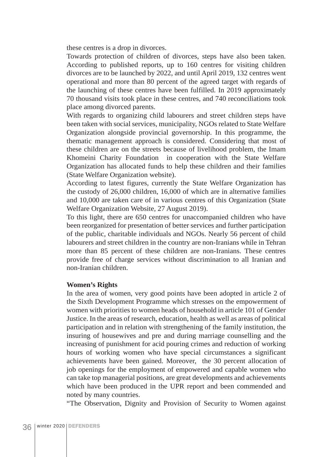these centres is a drop in divorces.

Towards protection of children of divorces, steps have also been taken. According to published reports, up to 160 centres for visiting children divorces are to be launched by 2022, and until April 2019, 132 centres went operational and more than 80 percent of the agreed target with regards of the launching of these centres have been fulfilled. In 2019 approximately 70 thousand visits took place in these centres, and 740 reconciliations took place among divorced parents.

With regards to organizing child labourers and street children steps have been taken with social services, municipality, NGOs related to State Welfare Organization alongside provincial governorship. In this programme, the thematic management approach is considered. Considering that most of these children are on the streets because of livelihood problem, the Imam Khomeini Charity Foundation in cooperation with the State Welfare Organization has allocated funds to help these children and their families (State Welfare Organization website).

According to latest figures, currently the State Welfare Organization has the custody of 26,000 children, 16,000 of which are in alternative families and 10,000 are taken care of in various centres of this Organization (State Welfare Organization Website, 27 August 2019).

To this light, there are 650 centres for unaccompanied children who have been reorganized for presentation of better services and further participation of the public, charitable individuals and NGOs. Nearly 56 percent of child labourers and street children in the country are non-Iranians while in Tehran more than 85 percent of these children are non-Iranians. These centres provide free of charge services without discrimination to all Iranian and non-Iranian children.

#### **Women's Rights**

In the area of women, very good points have been adopted in article 2 of the Sixth Development Programme which stresses on the empowerment of women with priorities to women heads of household in article 101 of Gender Justice. In the areas of research, education, health as well as areas of political participation and in relation with strengthening of the family institution, the insuring of housewives and pre and during marriage counselling and the increasing of punishment for acid pouring crimes and reduction of working hours of working women who have special circumstances a significant achievements have been gained. Moreover, the 30 percent allocation of job openings for the employment of empowered and capable women who can take top managerial positions, are great developments and achievements which have been produced in the UPR report and been commended and noted by many countries.

"The Observation, Dignity and Provision of Security to Women against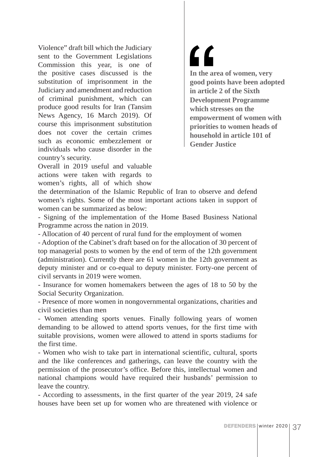Violence" draft bill which the Judiciary sent to the Government Legislations Commission this year, is one of the positive cases discussed is the substitution of imprisonment in the Judiciary and amendment and reduction of criminal punishment, which can produce good results for Iran (Tansim News Agency, 16 March 2019). Of course this imprisonment substitution does not cover the certain crimes such as economic embezzlement or individuals who cause disorder in the country's security.

Overall in 2019 useful and valuable actions were taken with regards to women's rights, all of which show  $\epsilon$ **In the area of women, very good points have been adopted in article 2 of the Sixth Development Programme which stresses on the empowerment of women with priorities to women heads of household in article 101 of Gender Justice**

the determination of the Islamic Republic of Iran to observe and defend women's rights. Some of the most important actions taken in support of women can be summarized as below:

- Signing of the implementation of the Home Based Business National Programme across the nation in 2019.

- Allocation of 40 percent of rural fund for the employment of women

- Adoption of the Cabinet's draft based on for the allocation of 30 percent of top managerial posts to women by the end of term of the 12th government (administration). Currently there are 61 women in the 12th government as deputy minister and or co-equal to deputy minister. Forty-one percent of civil servants in 2019 were women.

- Insurance for women homemakers between the ages of 18 to 50 by the Social Security Organization.

- Presence of more women in nongovernmental organizations, charities and civil societies than men

- Women attending sports venues. Finally following years of women demanding to be allowed to attend sports venues, for the first time with suitable provisions, women were allowed to attend in sports stadiums for the first time.

- Women who wish to take part in international scientific, cultural, sports and the like conferences and gatherings, can leave the country with the permission of the prosecutor's office. Before this, intellectual women and national champions would have required their husbands' permission to leave the country.

- According to assessments, in the first quarter of the year 2019, 24 safe houses have been set up for women who are threatened with violence or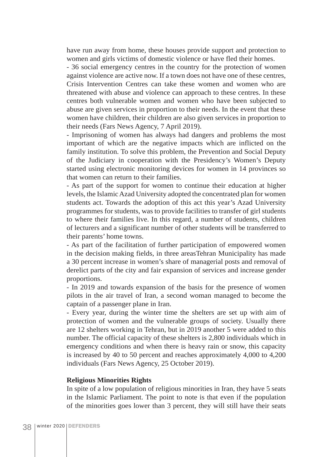have run away from home, these houses provide support and protection to women and girls victims of domestic violence or have fled their homes.

- 36 social emergency centres in the country for the protection of women against violence are active now. If a town does not have one of these centres, Crisis Intervention Centres can take these women and women who are threatened with abuse and violence can approach to these centres. In these centres both vulnerable women and women who have been subjected to abuse are given services in proportion to their needs. In the event that these women have children, their children are also given services in proportion to their needs (Fars News Agency, 7 April 2019).

- Imprisoning of women has always had dangers and problems the most important of which are the negative impacts which are inflicted on the family institution. To solve this problem, the Prevention and Social Deputy of the Judiciary in cooperation with the Presidency's Women's Deputy started using electronic monitoring devices for women in 14 provinces so that women can return to their families.

- As part of the support for women to continue their education at higher levels, the Islamic Azad University adopted the concentrated plan for women students act. Towards the adoption of this act this year's Azad University programmes for students, was to provide facilities to transfer of girl students to where their families live. In this regard, a number of students, children of lecturers and a significant number of other students will be transferred to their parents' home towns.

- As part of the facilitation of further participation of empowered women in the decision making fields, in three areasTehran Municipality has made a 30 percent increase in women's share of managerial posts and removal of derelict parts of the city and fair expansion of services and increase gender proportions.

- In 2019 and towards expansion of the basis for the presence of women pilots in the air travel of Iran, a second woman managed to become the captain of a passenger plane in Iran.

- Every year, during the winter time the shelters are set up with aim of protection of women and the vulnerable groups of society. Usually there are 12 shelters working in Tehran, but in 2019 another 5 were added to this number. The official capacity of these shelters is 2,800 individuals which in emergency conditions and when there is heavy rain or snow, this capacity is increased by 40 to 50 percent and reaches approximately 4,000 to 4,200 individuals (Fars News Agency, 25 October 2019).

#### **Religious Minorities Rights**

In spite of a low population of religious minorities in Iran, they have 5 seats in the Islamic Parliament. The point to note is that even if the population of the minorities goes lower than 3 percent, they will still have their seats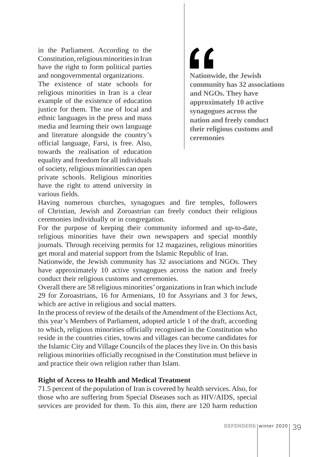in the Parliament. According to the Constitution, religious minorities in Iran have the right to form political parties and nongovernmental organizations.

The existence of state schools for religious minorities in Iran is a clear example of the existence of education justice for them. The use of local and ethnic languages in the press and mass media and learning their own language and literature alongside the country's official language, Farsi, is free. Also, towards the realisation of education equality and freedom for all individuals of society, religious minorities can open private schools. Religious minorities have the right to attend university in various fields.

<u>"</u> **Nationwide, the Jewish community has 32 associations and NGOs. They have approximately 10 active synagogues across the nation and freely conduct their religious customs and ceremonies**

Having numerous churches, synagogues and fire temples, followers of Christian, Jewish and Zoroastrian can freely conduct their religious ceremonies individually or in congregation.

For the purpose of keeping their community informed and up-to-date, religious minorities have their own newspapers and special monthly journals. Through receiving permits for 12 magazines, religious minorities get moral and material support from the Islamic Republic of Iran.

Nationwide, the Jewish community has 32 associations and NGOs. They have approximately 10 active synagogues across the nation and freely conduct their religious customs and ceremonies.

Overall there are 58 religious minorities' organizations in Iran which include 29 for Zoroastrians, 16 for Armenians, 10 for Assyrians and 3 for Jews, which are active in religious and social matters.

In the process of review of the details of the Amendment of the Elections Act, this year's Members of Parliament, adopted article 1 of the draft, according to which, religious minorities officially recognised in the Constitution who reside in the countries cities, towns and villages can become candidates for the Islamic City and Village Councils of the places they live in. On this basis religious minorities officially recognised in the Constitution must believe in and practice their own religion rather than Islam.

## **Right of Access to Health and Medical Treatment**

71.5 percent of the population of Iran is covered by health services. Also, for those who are suffering from Special Diseases such as HIV/AIDS, special services are provided for them. To this aim, there are 120 harm reduction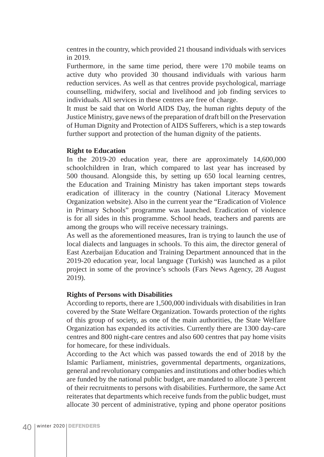centres in the country, which provided 21 thousand individuals with services in 2019.

Furthermore, in the same time period, there were 170 mobile teams on active duty who provided 30 thousand individuals with various harm reduction services. As well as that centres provide psychological, marriage counselling, midwifery, social and livelihood and job finding services to individuals. All services in these centres are free of charge.

It must be said that on World AIDS Day, the human rights deputy of the Justice Ministry, gave news of the preparation of draft bill on the Preservation of Human Dignity and Protection of AIDS Sufferers, which is a step towards further support and protection of the human dignity of the patients.

#### **Right to Education**

In the 2019-20 education year, there are approximately 14,600,000 schoolchildren in Iran, which compared to last year has increased by 500 thousand. Alongside this, by setting up 650 local learning centres, the Education and Training Ministry has taken important steps towards eradication of illiteracy in the country (National Literacy Movement Organization website). Also in the current year the "Eradication of Violence in Primary Schools" programme was launched. Eradication of violence is for all sides in this programme. School heads, teachers and parents are among the groups who will receive necessary trainings.

As well as the aforementioned measures, Iran is trying to launch the use of local dialects and languages in schools. To this aim, the director general of East Azerbaijan Education and Training Department announced that in the 2019-20 education year, local language (Turkish) was launched as a pilot project in some of the province's schools (Fars News Agency, 28 August 2019).

#### **Rights of Persons with Disabilities**

According to reports, there are 1,500,000 individuals with disabilities in Iran covered by the State Welfare Organization. Towards protection of the rights of this group of society, as one of the main authorities, the State Welfare Organization has expanded its activities. Currently there are 1300 day-care centres and 800 night-care centres and also 600 centres that pay home visits for homecare, for these individuals.

According to the Act which was passed towards the end of 2018 by the Islamic Parliament, ministries, governmental departments, organizations, general and revolutionary companies and institutions and other bodies which are funded by the national public budget, are mandated to allocate 3 percent of their recruitments to persons with disabilities. Furthermore, the same Act reiterates that departments which receive funds from the public budget, must allocate 30 percent of administrative, typing and phone operator positions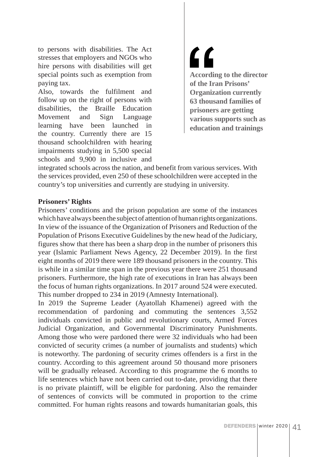to persons with disabilities. The Act stresses that employers and NGOs who hire persons with disabilities will get special points such as exemption from paying tax.

Also, towards the fulfilment and follow up on the right of persons with disabilities, the Braille Education Movement and Sign Language learning have been launched in the country. Currently there are 15 thousand schoolchildren with hearing impairments studying in 5,500 special schools and 9,900 in inclusive and <u>"</u> **According to the director of the Iran Prisons' Organization currently 63 thousand families of prisoners are getting various supports such as education and trainings**

integrated schools across the nation, and benefit from various services. With the services provided, even 250 of these schoolchildren were accepted in the country's top universities and currently are studying in university.

#### **Prisoners' Rights**

Prisoners' conditions and the prison population are some of the instances which have always been the subject of attention of human rights organizations. In view of the issuance of the Organization of Prisoners and Reduction of the Population of Prisons Executive Guidelines by the new head of the Judiciary, figures show that there has been a sharp drop in the number of prisoners this year (Islamic Parliament News Agency, 22 December 2019). In the first eight months of 2019 there were 189 thousand prisoners in the country. This is while in a similar time span in the previous year there were 251 thousand prisoners. Furthermore, the high rate of executions in Iran has always been the focus of human rights organizations. In 2017 around 524 were executed. This number dropped to 234 in 2019 (Amnesty International).

In 2019 the Supreme Leader (Ayatollah Khamenei) agreed with the recommendation of pardoning and commuting the sentences 3,552 individuals convicted in public and revolutionary courts, Armed Forces Judicial Organization, and Governmental Discriminatory Punishments. Among those who were pardoned there were 32 individuals who had been convicted of security crimes (a number of journalists and students) which is noteworthy. The pardoning of security crimes offenders is a first in the country. According to this agreement around 50 thousand more prisoners will be gradually released. According to this programme the 6 months to life sentences which have not been carried out to-date, providing that there is no private plaintiff, will be eligible for pardoning. Also the remainder of sentences of convicts will be commuted in proportion to the crime committed. For human rights reasons and towards humanitarian goals, this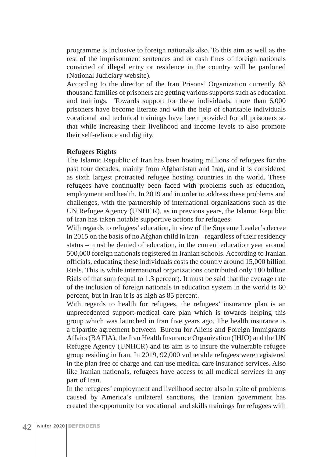programme is inclusive to foreign nationals also. To this aim as well as the rest of the imprisonment sentences and or cash fines of foreign nationals convicted of illegal entry or residence in the country will be pardoned (National Judiciary website).

According to the director of the Iran Prisons' Organization currently 63 thousand families of prisoners are getting various supports such as education and trainings. Towards support for these individuals, more than 6,000 prisoners have become literate and with the help of charitable individuals vocational and technical trainings have been provided for all prisoners so that while increasing their livelihood and income levels to also promote their self-reliance and dignity.

#### **Refugees Rights**

The Islamic Republic of Iran has been hosting millions of refugees for the past four decades, mainly from Afghanistan and Iraq, and it is considered as sixth largest protracted refugee hosting countries in the world. These refugees have continually been faced with problems such as education, employment and health. In 2019 and in order to address these problems and challenges, with the partnership of international organizations such as the UN Refugee Agency (UNHCR), as in previous years, the Islamic Republic of Iran has taken notable supportive actions for refugees.

With regards to refugees' education, in view of the Supreme Leader's decree in 2015 on the basis of no Afghan child in Iran – regardless of their residency status – must be denied of education, in the current education year around 500,000 foreign nationals registered in Iranian schools. According to Iranian officials, educating these individuals costs the country around 15,000 billion Rials. This is while international organizations contributed only 180 billion Rials of that sum (equal to 1.3 percent). It must be said that the average rate of the inclusion of foreign nationals in education system in the world is 60 percent, but in Iran it is as high as 85 percent.

With regards to health for refugees, the refugees' insurance plan is an unprecedented support-medical care plan which is towards helping this group which was launched in Iran five years ago. The health insurance is a tripartite agreement between Bureau for Aliens and Foreign Immigrants Affairs (BAFIA), the Iran Health Insurance Organization (IHIO) and the UN Refugee Agency (UNHCR) and its aim is to insure the vulnerable refugee group residing in Iran. In 2019, 92,000 vulnerable refugees were registered in the plan free of charge and can use medical care insurance services. Also like Iranian nationals, refugees have access to all medical services in any part of Iran.

In the refugees' employment and livelihood sector also in spite of problems caused by America's unilateral sanctions, the Iranian government has created the opportunity for vocational and skills trainings for refugees with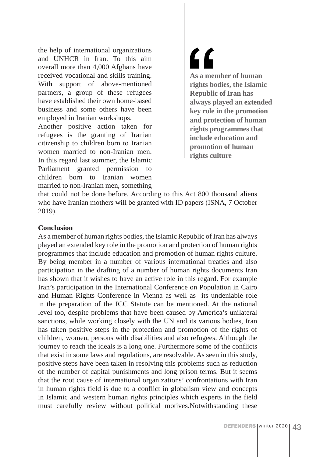the help of international organizations and UNHCR in Iran. To this aim overall more than 4,000 Afghans have received vocational and skills training. With support of above-mentioned partners, a group of these refugees have established their own home-based business and some others have been employed in Iranian workshops.

Another positive action taken for refugees is the granting of Iranian citizenship to children born to Iranian women married to non-Iranian men. In this regard last summer, the Islamic Parliament granted permission to children born to Iranian women married to non-Iranian men, something <u>"</u> **As a member of human rights bodies, the Islamic Republic of Iran has always played an extended key role in the promotion and protection of human rights programmes that include education and promotion of human rights culture**

that could not be done before. According to this Act 800 thousand aliens who have Iranian mothers will be granted with ID papers (ISNA, 7 October 2019).

### **Conclusion**

As a member of human rights bodies, the Islamic Republic of Iran has always played an extended key role in the promotion and protection of human rights programmes that include education and promotion of human rights culture. By being member in a number of various international treaties and also participation in the drafting of a number of human rights documents Iran has shown that it wishes to have an active role in this regard. For example Iran's participation in the International Conference on Population in Cairo and Human Rights Conference in Vienna as well as its undeniable role in the preparation of the ICC Statute can be mentioned. At the national level too, despite problems that have been caused by America's unilateral sanctions, while working closely with the UN and its various bodies, Iran has taken positive steps in the protection and promotion of the rights of children, women, persons with disabilities and also refugees. Although the journey to reach the ideals is a long one. Furthermore some of the conflicts that exist in some laws and regulations, are resolvable. As seen in this study, positive steps have been taken in resolving this problems such as reduction of the number of capital punishments and long prison terms. But it seems that the root cause of international organizations' confrontations with Iran in human rights field is due to a conflict in globalism view and concepts in Islamic and western human rights principles which experts in the field must carefully review without political motives.Notwithstanding these